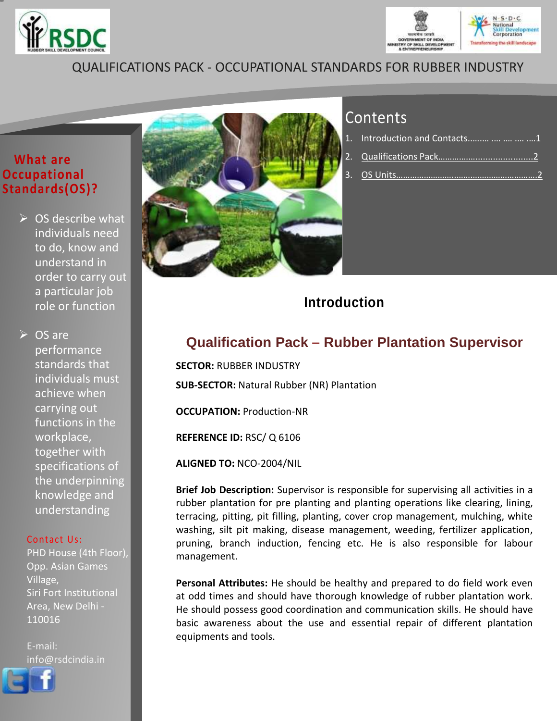



## QUALIFICATIONS PACK - OCCUPATIONAL STANDARDS FOR RUBBER INDUSTRY

## **What are Occupational Standards(OS)?**

 $\triangleright$  OS describe what individuals need to do, know and understand in order to carry out a particular job role or function

**► OS are** performance standards that individuals must achieve when carrying out functions in the workplace, together with specifications of the underpinning knowledge and understanding

### Contact Us:

PHD House (4th Floor), Opp. Asian Games Village, Siri Fort Institutional Area, New Delhi - 110016

E-mail: [info@r](http://www.facebook.com/pages/Rubber-Skill-Development-Centre/649620998388694)sdcindia.in





# **Contents**

| 1. Introduction and Contacts    1 |
|-----------------------------------|
|                                   |
|                                   |

## **Introduction**

## **Qualification Pack – Rubber Plantation Supervisor**

**SECTOR:** RUBBER INDUSTRY **SUB-SECTOR:** Natural Rubber (NR) Plantation

**OCCUPATION:** Production-NR

**REFERENCE ID:** RSC/ Q 6106

**ALIGNED TO:** NCO-2004/NIL

**Brief Job Description:** Supervisor is responsible for supervising all activities in a rubber plantation for pre planting and planting operations like clearing, lining, terracing, pitting, pit filling, planting, cover crop management, mulching, white washing, silt pit making, disease management, weeding, fertilizer application, pruning, branch induction, fencing etc. He is also responsible for labour management.

**Personal Attributes:** He should be healthy and prepared to do field work even at odd times and should have thorough knowledge of rubber plantation work. He should possess good coordination and communication skills. He should have basic awareness about the use and essential repair of different plantation equipments and tools.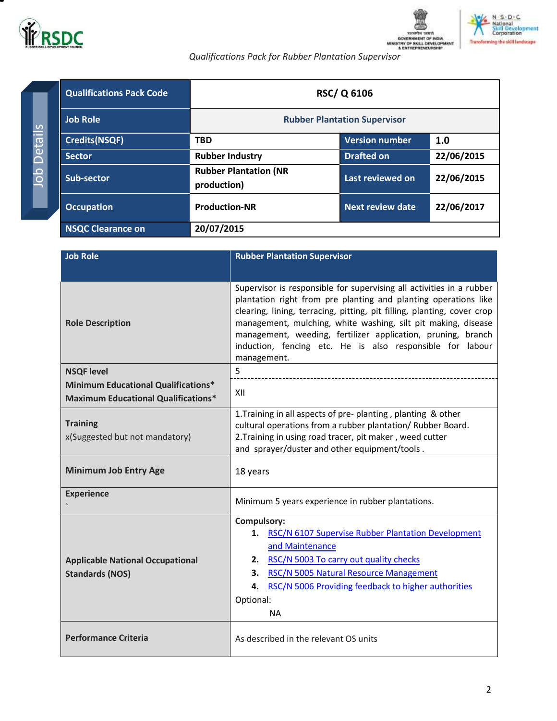



**CONSIGNATE: CONSIGNATION**<br> **Qualifications Pack for Rubber Plantation Supervisor** 

<span id="page-1-0"></span>

| <b>Qualifications Pack Code</b> | <b>RSC/Q 6106</b>                           |                       |            |
|---------------------------------|---------------------------------------------|-----------------------|------------|
| <b>Job Role</b>                 | <b>Rubber Plantation Supervisor</b>         |                       |            |
| <b>Credits(NSQF)</b>            | <b>TBD</b>                                  | <b>Version number</b> | 1.0        |
| <b>Sector</b>                   | <b>Rubber Industry</b>                      | <b>Drafted on</b>     | 22/06/2015 |
| Sub-sector                      | <b>Rubber Plantation (NR</b><br>production) | Last reviewed on      | 22/06/2015 |
| <b>Occupation</b>               | <b>Production-NR</b>                        | Next review date      | 22/06/2017 |
| <b>NSQC Clearance on</b>        | 20/07/2015                                  |                       |            |

| <b>Job Role</b>                                                                          | <b>Rubber Plantation Supervisor</b>                                                                                                                                                                                                                                                                                                                                                                                             |  |  |
|------------------------------------------------------------------------------------------|---------------------------------------------------------------------------------------------------------------------------------------------------------------------------------------------------------------------------------------------------------------------------------------------------------------------------------------------------------------------------------------------------------------------------------|--|--|
|                                                                                          |                                                                                                                                                                                                                                                                                                                                                                                                                                 |  |  |
| <b>Role Description</b>                                                                  | Supervisor is responsible for supervising all activities in a rubber<br>plantation right from pre planting and planting operations like<br>clearing, lining, terracing, pitting, pit filling, planting, cover crop<br>management, mulching, white washing, silt pit making, disease<br>management, weeding, fertilizer application, pruning, branch<br>induction, fencing etc. He is also responsible for labour<br>management. |  |  |
| <b>NSQF level</b>                                                                        | 5                                                                                                                                                                                                                                                                                                                                                                                                                               |  |  |
| <b>Minimum Educational Qualifications*</b><br><b>Maximum Educational Qualifications*</b> | XII                                                                                                                                                                                                                                                                                                                                                                                                                             |  |  |
| <b>Training</b><br>x(Suggested but not mandatory)                                        | 1. Training in all aspects of pre-planting, planting & other<br>cultural operations from a rubber plantation/ Rubber Board.<br>2. Training in using road tracer, pit maker, weed cutter<br>and sprayer/duster and other equipment/tools.                                                                                                                                                                                        |  |  |
| <b>Minimum Job Entry Age</b>                                                             | 18 years                                                                                                                                                                                                                                                                                                                                                                                                                        |  |  |
| <b>Experience</b>                                                                        | Minimum 5 years experience in rubber plantations.                                                                                                                                                                                                                                                                                                                                                                               |  |  |
| <b>Applicable National Occupational</b><br><b>Standards (NOS)</b>                        | Compulsory:<br>RSC/N 6107 Supervise Rubber Plantation Development<br>1.<br>and Maintenance<br>2. RSC/N 5003 To carry out quality checks<br>RSC/N 5005 Natural Resource Management<br>3.<br>RSC/N 5006 Providing feedback to higher authorities<br>4.<br>Optional:<br><b>NA</b>                                                                                                                                                  |  |  |
| <b>Performance Criteria</b>                                                              | As described in the relevant OS units                                                                                                                                                                                                                                                                                                                                                                                           |  |  |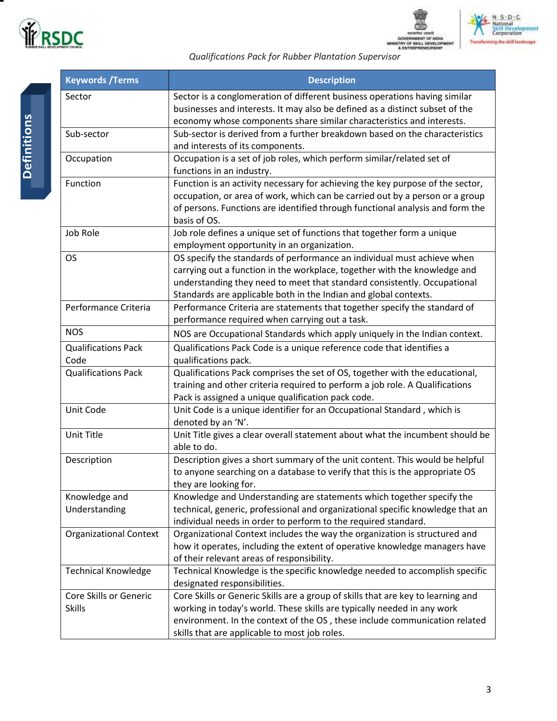

т



**CONSIGNATION**<br> **Qualifications Pack for Rubber Plantation Supervisor** 

| <b>Keywords / Terms</b>                                                                                                                                                                                                                                                                                           | <b>Description</b>                                                                                                                                                                                                                                                                         |  |  |
|-------------------------------------------------------------------------------------------------------------------------------------------------------------------------------------------------------------------------------------------------------------------------------------------------------------------|--------------------------------------------------------------------------------------------------------------------------------------------------------------------------------------------------------------------------------------------------------------------------------------------|--|--|
| Sector                                                                                                                                                                                                                                                                                                            | Sector is a conglomeration of different business operations having similar<br>businesses and interests. It may also be defined as a distinct subset of the<br>economy whose components share similar characteristics and interests.                                                        |  |  |
| Sub-sector                                                                                                                                                                                                                                                                                                        | Sub-sector is derived from a further breakdown based on the characteristics<br>and interests of its components.                                                                                                                                                                            |  |  |
| Occupation                                                                                                                                                                                                                                                                                                        | Occupation is a set of job roles, which perform similar/related set of<br>functions in an industry.                                                                                                                                                                                        |  |  |
| Function                                                                                                                                                                                                                                                                                                          | Function is an activity necessary for achieving the key purpose of the sector,<br>occupation, or area of work, which can be carried out by a person or a group<br>of persons. Functions are identified through functional analysis and form the<br>basis of OS.                            |  |  |
| Job Role                                                                                                                                                                                                                                                                                                          | Job role defines a unique set of functions that together form a unique<br>employment opportunity in an organization.                                                                                                                                                                       |  |  |
| OS specify the standards of performance an individual must achieve when<br><b>OS</b><br>carrying out a function in the workplace, together with the knowledge and<br>understanding they need to meet that standard consistently. Occupational<br>Standards are applicable both in the Indian and global contexts. |                                                                                                                                                                                                                                                                                            |  |  |
| Performance Criteria<br>Performance Criteria are statements that together specify the standard of<br>performance required when carrying out a task.                                                                                                                                                               |                                                                                                                                                                                                                                                                                            |  |  |
| <b>NOS</b>                                                                                                                                                                                                                                                                                                        | NOS are Occupational Standards which apply uniquely in the Indian context.                                                                                                                                                                                                                 |  |  |
| <b>Qualifications Pack</b><br>Code                                                                                                                                                                                                                                                                                | Qualifications Pack Code is a unique reference code that identifies a<br>qualifications pack.                                                                                                                                                                                              |  |  |
| Qualifications Pack comprises the set of OS, together with the educational,<br><b>Qualifications Pack</b><br>training and other criteria required to perform a job role. A Qualifications<br>Pack is assigned a unique qualification pack code.                                                                   |                                                                                                                                                                                                                                                                                            |  |  |
| Unit Code                                                                                                                                                                                                                                                                                                         | Unit Code is a unique identifier for an Occupational Standard, which is<br>denoted by an 'N'.                                                                                                                                                                                              |  |  |
| Unit Title                                                                                                                                                                                                                                                                                                        | Unit Title gives a clear overall statement about what the incumbent should be<br>able to do.                                                                                                                                                                                               |  |  |
| Description                                                                                                                                                                                                                                                                                                       | Description gives a short summary of the unit content. This would be helpful<br>to anyone searching on a database to verify that this is the appropriate OS<br>they are looking for.                                                                                                       |  |  |
| Knowledge and<br>Understanding                                                                                                                                                                                                                                                                                    | Knowledge and Understanding are statements which together specify the<br>technical, generic, professional and organizational specific knowledge that an<br>individual needs in order to perform to the required standard.                                                                  |  |  |
| <b>Organizational Context</b>                                                                                                                                                                                                                                                                                     | Organizational Context includes the way the organization is structured and<br>how it operates, including the extent of operative knowledge managers have<br>of their relevant areas of responsibility.                                                                                     |  |  |
| <b>Technical Knowledge</b>                                                                                                                                                                                                                                                                                        | Technical Knowledge is the specific knowledge needed to accomplish specific<br>designated responsibilities.                                                                                                                                                                                |  |  |
| Core Skills or Generic<br><b>Skills</b>                                                                                                                                                                                                                                                                           | Core Skills or Generic Skills are a group of skills that are key to learning and<br>working in today's world. These skills are typically needed in any work<br>environment. In the context of the OS, these include communication related<br>skills that are applicable to most job roles. |  |  |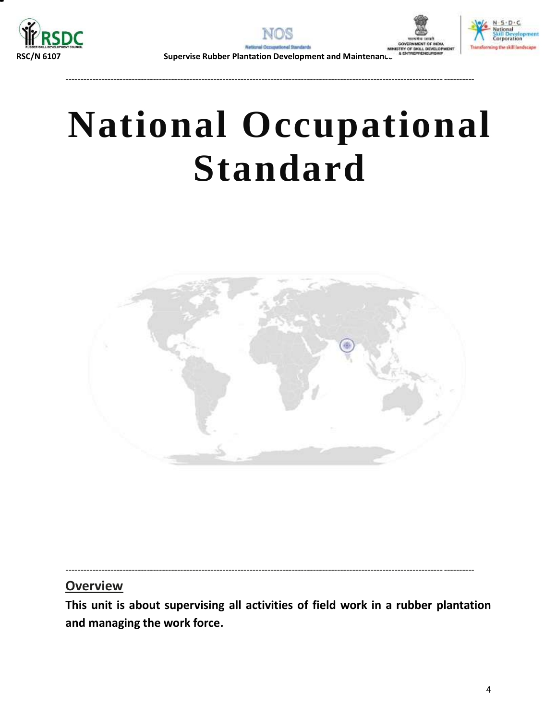







**RSC/N 6107 Supervise Rubber Plantation Development and Maintenan** 

---------------------------------------------------------------------------------------------------------------------------------------

# **National Occupational Standard**

<span id="page-3-0"></span>

## **Overview**

**This unit is about supervising all activities of field work in a rubber plantation and managing the work force.**

---------------------------------------------------------------------------------------------------------------------------------------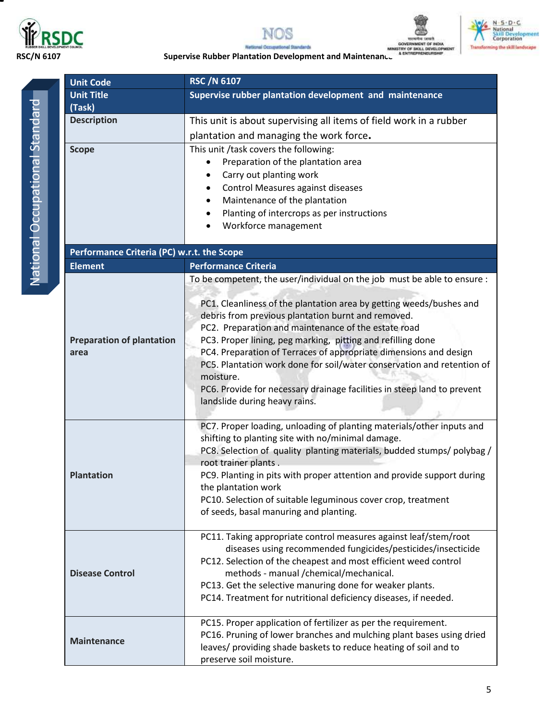







**RSC/N 6107**<br> **RSC/N 6107 Supervise Rubber Plantation Development and Maintenance**<br> **RSC/N 6107 Supervise Rubber Plantation Development and Maintenance** ards

| <b>Unit Code</b>                           | <b>RSC /N 6107</b>                                                                                                         |  |  |
|--------------------------------------------|----------------------------------------------------------------------------------------------------------------------------|--|--|
| <b>Unit Title</b>                          | Supervise rubber plantation development and maintenance                                                                    |  |  |
| (Task)                                     |                                                                                                                            |  |  |
| <b>Description</b>                         | This unit is about supervising all items of field work in a rubber                                                         |  |  |
|                                            | plantation and managing the work force.                                                                                    |  |  |
| <b>Scope</b>                               | This unit /task covers the following:                                                                                      |  |  |
|                                            | Preparation of the plantation area                                                                                         |  |  |
|                                            | Carry out planting work<br>Control Measures against diseases                                                               |  |  |
|                                            | Maintenance of the plantation                                                                                              |  |  |
|                                            | Planting of intercrops as per instructions                                                                                 |  |  |
|                                            | Workforce management                                                                                                       |  |  |
|                                            |                                                                                                                            |  |  |
| Performance Criteria (PC) w.r.t. the Scope |                                                                                                                            |  |  |
| <b>Element</b>                             | <b>Performance Criteria</b>                                                                                                |  |  |
|                                            | To be competent, the user/individual on the job must be able to ensure :                                                   |  |  |
|                                            | PC1. Cleanliness of the plantation area by getting weeds/bushes and                                                        |  |  |
|                                            | debris from previous plantation burnt and removed.                                                                         |  |  |
|                                            | PC2. Preparation and maintenance of the estate road                                                                        |  |  |
| <b>Preparation of plantation</b>           | PC3. Proper lining, peg marking, pitting and refilling done                                                                |  |  |
| area                                       | PC4. Preparation of Terraces of appropriate dimensions and design                                                          |  |  |
|                                            | PC5. Plantation work done for soil/water conservation and retention of<br>moisture.                                        |  |  |
|                                            | PC6. Provide for necessary drainage facilities in steep land to prevent                                                    |  |  |
|                                            | landslide during heavy rains.                                                                                              |  |  |
|                                            |                                                                                                                            |  |  |
|                                            | PC7. Proper loading, unloading of planting materials/other inputs and<br>shifting to planting site with no/minimal damage. |  |  |
|                                            | PC8. Selection of quality planting materials, budded stumps/ polybag /                                                     |  |  |
|                                            | root trainer plants.                                                                                                       |  |  |
| <b>Plantation</b>                          | PC9. Planting in pits with proper attention and provide support during                                                     |  |  |
|                                            | the plantation work<br>PC10. Selection of suitable leguminous cover crop, treatment                                        |  |  |
|                                            | of seeds, basal manuring and planting.                                                                                     |  |  |
|                                            |                                                                                                                            |  |  |
|                                            | PC11. Taking appropriate control measures against leaf/stem/root                                                           |  |  |
|                                            | diseases using recommended fungicides/pesticides/insecticide                                                               |  |  |
| <b>Disease Control</b>                     | PC12. Selection of the cheapest and most efficient weed control<br>methods - manual /chemical/mechanical.                  |  |  |
|                                            | PC13. Get the selective manuring done for weaker plants.                                                                   |  |  |
|                                            | PC14. Treatment for nutritional deficiency diseases, if needed.                                                            |  |  |
|                                            |                                                                                                                            |  |  |
|                                            | PC15. Proper application of fertilizer as per the requirement.                                                             |  |  |
| <b>Maintenance</b>                         | PC16. Pruning of lower branches and mulching plant bases using dried                                                       |  |  |
|                                            | leaves/ providing shade baskets to reduce heating of soil and to<br>preserve soil moisture.                                |  |  |
|                                            |                                                                                                                            |  |  |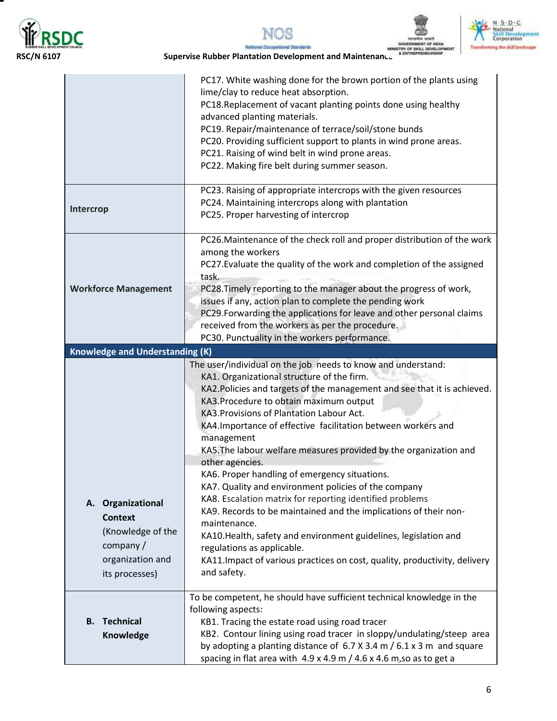

т







|                                                                                                               | PC17. White washing done for the brown portion of the plants using<br>lime/clay to reduce heat absorption.<br>PC18. Replacement of vacant planting points done using healthy<br>advanced planting materials.<br>PC19. Repair/maintenance of terrace/soil/stone bunds<br>PC20. Providing sufficient support to plants in wind prone areas.<br>PC21. Raising of wind belt in wind prone areas.<br>PC22. Making fire belt during summer season.                                                                                                                                                                                                                                                                                                                                                                                                                                                                 |
|---------------------------------------------------------------------------------------------------------------|--------------------------------------------------------------------------------------------------------------------------------------------------------------------------------------------------------------------------------------------------------------------------------------------------------------------------------------------------------------------------------------------------------------------------------------------------------------------------------------------------------------------------------------------------------------------------------------------------------------------------------------------------------------------------------------------------------------------------------------------------------------------------------------------------------------------------------------------------------------------------------------------------------------|
| Intercrop                                                                                                     | PC23. Raising of appropriate intercrops with the given resources<br>PC24. Maintaining intercrops along with plantation<br>PC25. Proper harvesting of intercrop                                                                                                                                                                                                                                                                                                                                                                                                                                                                                                                                                                                                                                                                                                                                               |
| <b>Workforce Management</b>                                                                                   | PC26. Maintenance of the check roll and proper distribution of the work<br>among the workers<br>PC27. Evaluate the quality of the work and completion of the assigned<br>task.<br>PC28. Timely reporting to the manager about the progress of work,<br>issues if any, action plan to complete the pending work<br>PC29. Forwarding the applications for leave and other personal claims<br>received from the workers as per the procedure.<br>PC30. Punctuality in the workers performance.                                                                                                                                                                                                                                                                                                                                                                                                                  |
| <b>Knowledge and Understanding (K)</b>                                                                        |                                                                                                                                                                                                                                                                                                                                                                                                                                                                                                                                                                                                                                                                                                                                                                                                                                                                                                              |
| A. Organizational<br><b>Context</b><br>(Knowledge of the<br>company $/$<br>organization and<br>its processes) | The user/individual on the job needs to know and understand:<br>KA1. Organizational structure of the firm.<br>KA2. Policies and targets of the management and see that it is achieved.<br>KA3. Procedure to obtain maximum output<br>KA3. Provisions of Plantation Labour Act.<br>KA4. Importance of effective facilitation between workers and<br>management<br>KA5. The labour welfare measures provided by the organization and<br>other agencies.<br>KA6. Proper handling of emergency situations.<br>KA7. Quality and environment policies of the company<br>KA8. Escalation matrix for reporting identified problems<br>KA9. Records to be maintained and the implications of their non-<br>maintenance.<br>KA10.Health, safety and environment guidelines, legislation and<br>regulations as applicable.<br>KA11. Impact of various practices on cost, quality, productivity, delivery<br>and safety. |
| <b>B.</b> Technical<br>Knowledge                                                                              | To be competent, he should have sufficient technical knowledge in the<br>following aspects:<br>KB1. Tracing the estate road using road tracer<br>KB2. Contour lining using road tracer in sloppy/undulating/steep area<br>by adopting a planting distance of $6.7$ X 3.4 m $/$ 6.1 x 3 m and square<br>spacing in flat area with $4.9 \times 4.9$ m $/ 4.6 \times 4.6$ m, so as to get a                                                                                                                                                                                                                                                                                                                                                                                                                                                                                                                     |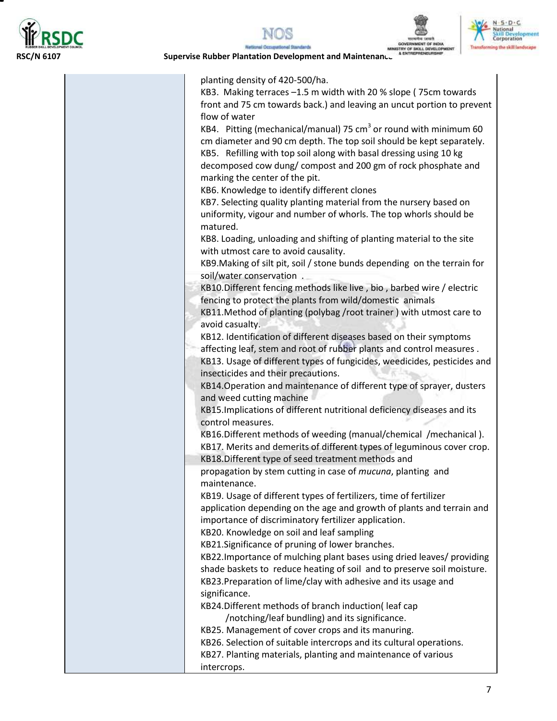

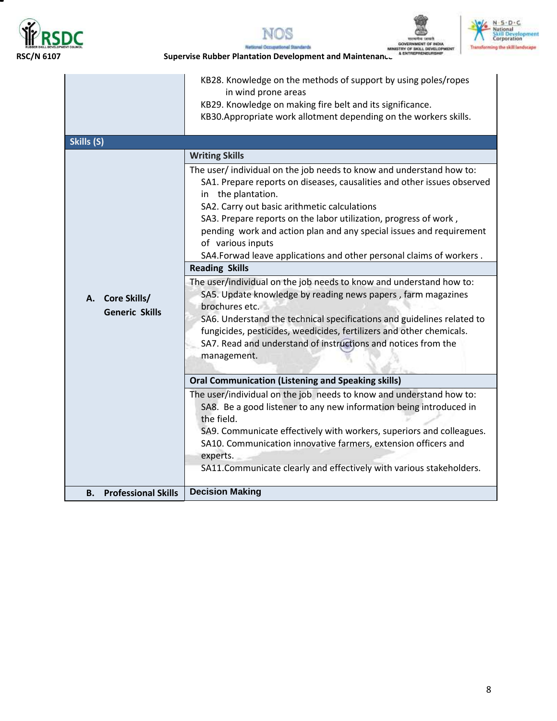

т







|                                          | in wind prone areas<br>KB29. Knowledge on making fire belt and its significance.<br>KB30.Appropriate work allotment depending on the workers skills.                                                                                                                                                                                                                                                                                                                                                                                                                                                                                                                                                                                                                                                                                                                                                                                                                                                                                                                                                                                                                                                                                                                                    |
|------------------------------------------|-----------------------------------------------------------------------------------------------------------------------------------------------------------------------------------------------------------------------------------------------------------------------------------------------------------------------------------------------------------------------------------------------------------------------------------------------------------------------------------------------------------------------------------------------------------------------------------------------------------------------------------------------------------------------------------------------------------------------------------------------------------------------------------------------------------------------------------------------------------------------------------------------------------------------------------------------------------------------------------------------------------------------------------------------------------------------------------------------------------------------------------------------------------------------------------------------------------------------------------------------------------------------------------------|
| Skills (S)                               |                                                                                                                                                                                                                                                                                                                                                                                                                                                                                                                                                                                                                                                                                                                                                                                                                                                                                                                                                                                                                                                                                                                                                                                                                                                                                         |
| A. Core Skills/<br><b>Generic Skills</b> | <b>Writing Skills</b><br>The user/individual on the job needs to know and understand how to:<br>SA1. Prepare reports on diseases, causalities and other issues observed<br>in the plantation.<br>SA2. Carry out basic arithmetic calculations<br>SA3. Prepare reports on the labor utilization, progress of work,<br>pending work and action plan and any special issues and requirement<br>of various inputs<br>SA4. Forwad leave applications and other personal claims of workers.<br><b>Reading Skills</b><br>The user/individual on the job needs to know and understand how to:<br>SA5. Update knowledge by reading news papers, farm magazines<br>brochures etc.<br>SA6. Understand the technical specifications and guidelines related to<br>fungicides, pesticides, weedicides, fertilizers and other chemicals.<br>SA7. Read and understand of instructions and notices from the<br>management.<br><b>Oral Communication (Listening and Speaking skills)</b><br>The user/individual on the job needs to know and understand how to:<br>SA8. Be a good listener to any new information being introduced in<br>the field.<br>SA9. Communicate effectively with workers, superiors and colleagues.<br>SA10. Communication innovative farmers, extension officers and<br>experts. |
|                                          | SA11.Communicate clearly and effectively with various stakeholders.                                                                                                                                                                                                                                                                                                                                                                                                                                                                                                                                                                                                                                                                                                                                                                                                                                                                                                                                                                                                                                                                                                                                                                                                                     |
| <b>B.</b> Professional Skills            | <b>Decision Making</b>                                                                                                                                                                                                                                                                                                                                                                                                                                                                                                                                                                                                                                                                                                                                                                                                                                                                                                                                                                                                                                                                                                                                                                                                                                                                  |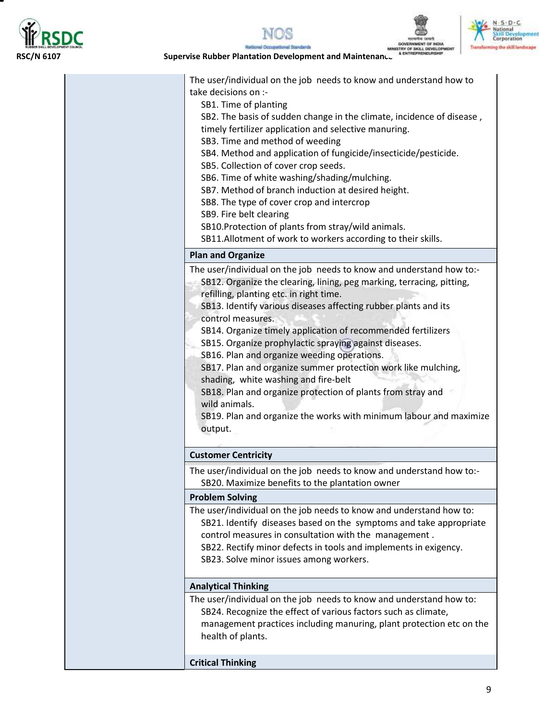

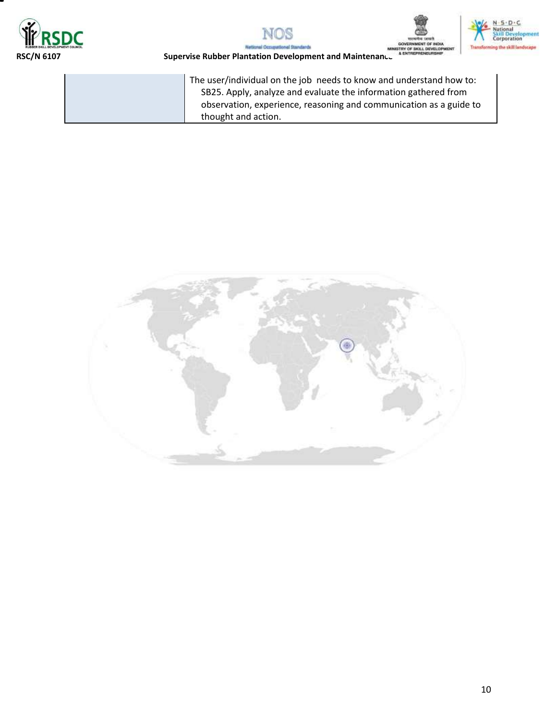





MINIST



**RSC/N 6107 Supervise Rubber Plantation Development and Maintenance** 

The user/individual on the job needs to know and understand how to: SB25. Apply, analyze and evaluate the information gathered from observation, experience, reasoning and communication as a guide to thought and action.

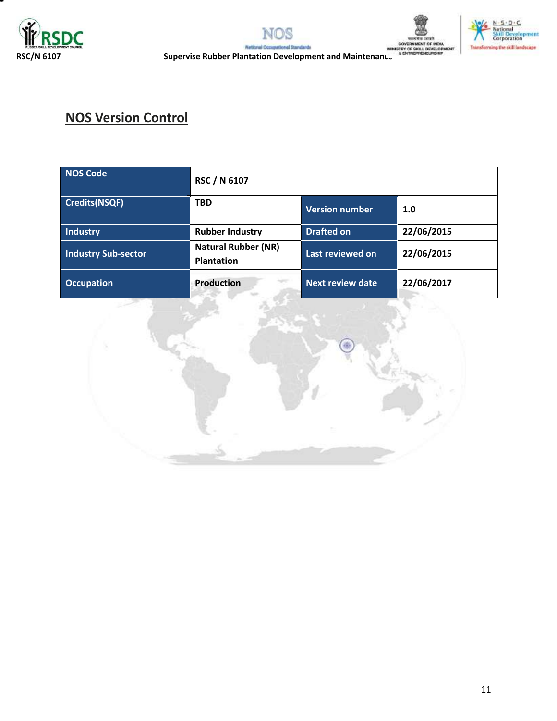







**RUBBER SKILL DEVELOPMENT COUNCIL**<br>RSC/N 6107 **Supervise Rubber Plantation Development and Maintenance** Manustay of SKILL DEVELOPMENT<br>RSC/N 6107

# **NOS Version Control**

| <b>NOS Code</b>            | RSC / N 6107                                    |                         |            |
|----------------------------|-------------------------------------------------|-------------------------|------------|
| Credits(NSQF)              | <b>TBD</b>                                      | <b>Version number</b>   | 1.0        |
| <b>Industry</b>            | <b>Rubber Industry</b>                          | <b>Drafted on</b>       | 22/06/2015 |
| <b>Industry Sub-sector</b> | <b>Natural Rubber (NR)</b><br><b>Plantation</b> | Last reviewed on        | 22/06/2015 |
| <b>Occupation</b>          | <b>Production</b>                               | <b>Next review date</b> | 22/06/2017 |

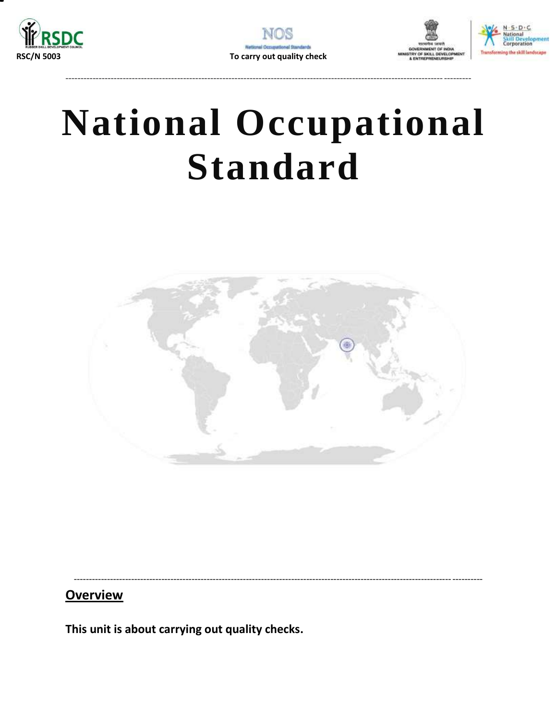







# **National Occupational Standard**

<span id="page-11-0"></span>

## **Overview**

This unit is about carrying out quality checks.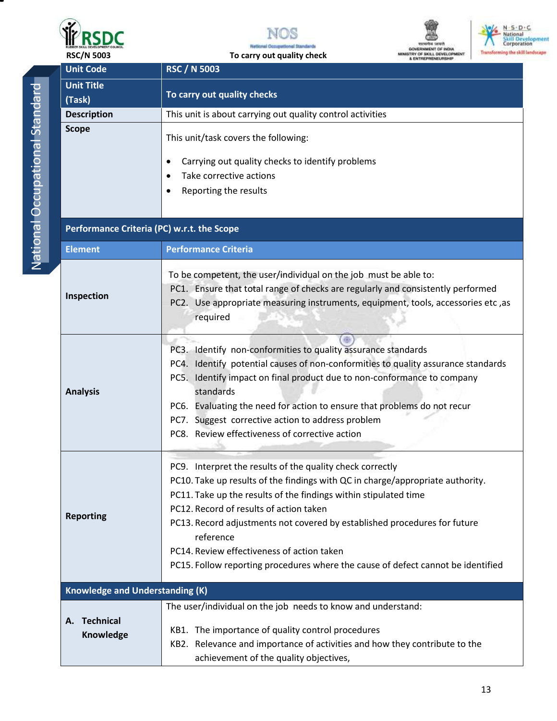







| <b>Unit Code</b>                                                                 | <b>RSC / N 5003</b>                                                                                                                                                                                                                                                                                                                                                                                                                                                                    |  |  |
|----------------------------------------------------------------------------------|----------------------------------------------------------------------------------------------------------------------------------------------------------------------------------------------------------------------------------------------------------------------------------------------------------------------------------------------------------------------------------------------------------------------------------------------------------------------------------------|--|--|
| <b>Unit Title</b>                                                                | To carry out quality checks                                                                                                                                                                                                                                                                                                                                                                                                                                                            |  |  |
| (Task)                                                                           |                                                                                                                                                                                                                                                                                                                                                                                                                                                                                        |  |  |
| This unit is about carrying out quality control activities<br><b>Description</b> |                                                                                                                                                                                                                                                                                                                                                                                                                                                                                        |  |  |
| <b>Scope</b>                                                                     | This unit/task covers the following:<br>Carrying out quality checks to identify problems<br>٠<br>Take corrective actions<br>Reporting the results                                                                                                                                                                                                                                                                                                                                      |  |  |
| Performance Criteria (PC) w.r.t. the Scope                                       |                                                                                                                                                                                                                                                                                                                                                                                                                                                                                        |  |  |
| <b>Element</b>                                                                   | <b>Performance Criteria</b>                                                                                                                                                                                                                                                                                                                                                                                                                                                            |  |  |
| Inspection                                                                       | To be competent, the user/individual on the job must be able to:<br>PC1. Ensure that total range of checks are regularly and consistently performed<br>PC2. Use appropriate measuring instruments, equipment, tools, accessories etc, as<br>required                                                                                                                                                                                                                                   |  |  |
| <b>Analysis</b>                                                                  | PC3. Identify non-conformities to quality assurance standards<br>PC4. Identify potential causes of non-conformities to quality assurance standards<br>PC5. Identify impact on final product due to non-conformance to company<br>standards<br>PC6. Evaluating the need for action to ensure that problems do not recur<br>PC7. Suggest corrective action to address problem<br>PC8. Review effectiveness of corrective action                                                          |  |  |
| <b>Reporting</b>                                                                 | PC9. Interpret the results of the quality check correctly<br>PC10. Take up results of the findings with QC in charge/appropriate authority.<br>PC11. Take up the results of the findings within stipulated time<br>PC12. Record of results of action taken<br>PC13. Record adjustments not covered by established procedures for future<br>reference<br>PC14. Review effectiveness of action taken<br>PC15. Follow reporting procedures where the cause of defect cannot be identified |  |  |
| <b>Knowledge and Understanding (K)</b>                                           |                                                                                                                                                                                                                                                                                                                                                                                                                                                                                        |  |  |
| <b>Technical</b><br>А.<br>Knowledge                                              | The user/individual on the job needs to know and understand:<br>KB1. The importance of quality control procedures<br>KB2. Relevance and importance of activities and how they contribute to the<br>achievement of the quality objectives,                                                                                                                                                                                                                                              |  |  |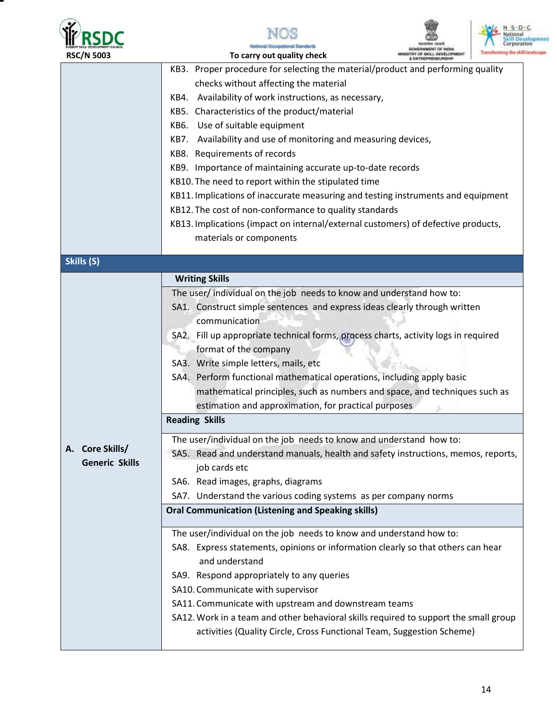



X



| <b>RSC/N 5003</b>                                          | To carry out quality check                                                           | ITRY OF SKILL DEVELOPMENT | Transforming the skill |  |
|------------------------------------------------------------|--------------------------------------------------------------------------------------|---------------------------|------------------------|--|
|                                                            | KB3. Proper procedure for selecting the material/product and performing quality      |                           |                        |  |
|                                                            | checks without affecting the material                                                |                           |                        |  |
|                                                            | KB4. Availability of work instructions, as necessary,                                |                           |                        |  |
|                                                            | KB5. Characteristics of the product/material                                         |                           |                        |  |
|                                                            | KB6. Use of suitable equipment                                                       |                           |                        |  |
|                                                            | KB7. Availability and use of monitoring and measuring devices,                       |                           |                        |  |
|                                                            | KB8. Requirements of records                                                         |                           |                        |  |
| KB9. Importance of maintaining accurate up-to-date records |                                                                                      |                           |                        |  |
|                                                            | KB10. The need to report within the stipulated time                                  |                           |                        |  |
|                                                            | KB11. Implications of inaccurate measuring and testing instruments and equipment     |                           |                        |  |
|                                                            | KB12. The cost of non-conformance to quality standards                               |                           |                        |  |
|                                                            | KB13. Implications (impact on internal/external customers) of defective products,    |                           |                        |  |
|                                                            | materials or components                                                              |                           |                        |  |
| Skills (S)                                                 |                                                                                      |                           |                        |  |
|                                                            | <b>Writing Skills</b>                                                                |                           |                        |  |
|                                                            | The user/individual on the job needs to know and understand how to:                  |                           |                        |  |
|                                                            | SA1. Construct simple sentences and express ideas clearly through written            |                           |                        |  |
|                                                            | communication                                                                        |                           |                        |  |
|                                                            | SA2. Fill up appropriate technical forms, process charts, activity logs in required  |                           |                        |  |
|                                                            | format of the company                                                                |                           |                        |  |
|                                                            | SA3. Write simple letters, mails, etc                                                |                           |                        |  |
|                                                            | SA4. Perform functional mathematical operations, including apply basic               |                           |                        |  |
|                                                            | mathematical principles, such as numbers and space, and techniques such as           |                           |                        |  |
|                                                            | estimation and approximation, for practical purposes                                 |                           |                        |  |
|                                                            | <b>Reading Skills</b>                                                                |                           |                        |  |
|                                                            | The user/individual on the job needs to know and understand how to:                  |                           |                        |  |
| A. Core Skills/                                            | SA5. Read and understand manuals, health and safety instructions, memos, reports,    |                           |                        |  |
| <b>Generic Skills</b>                                      | job cards etc                                                                        |                           |                        |  |
|                                                            | SA6. Read images, graphs, diagrams                                                   |                           |                        |  |
|                                                            | SA7. Understand the various coding systems as per company norms                      |                           |                        |  |
|                                                            | <b>Oral Communication (Listening and Speaking skills)</b>                            |                           |                        |  |
|                                                            | The user/individual on the job needs to know and understand how to:                  |                           |                        |  |
|                                                            | SA8. Express statements, opinions or information clearly so that others can hear     |                           |                        |  |
|                                                            | and understand                                                                       |                           |                        |  |
|                                                            | SA9. Respond appropriately to any queries                                            |                           |                        |  |
|                                                            | SA10. Communicate with supervisor                                                    |                           |                        |  |
|                                                            | SA11. Communicate with upstream and downstream teams                                 |                           |                        |  |
|                                                            | SA12. Work in a team and other behavioral skills required to support the small group |                           |                        |  |
|                                                            | activities (Quality Circle, Cross Functional Team, Suggestion Scheme)                |                           |                        |  |
|                                                            |                                                                                      |                           |                        |  |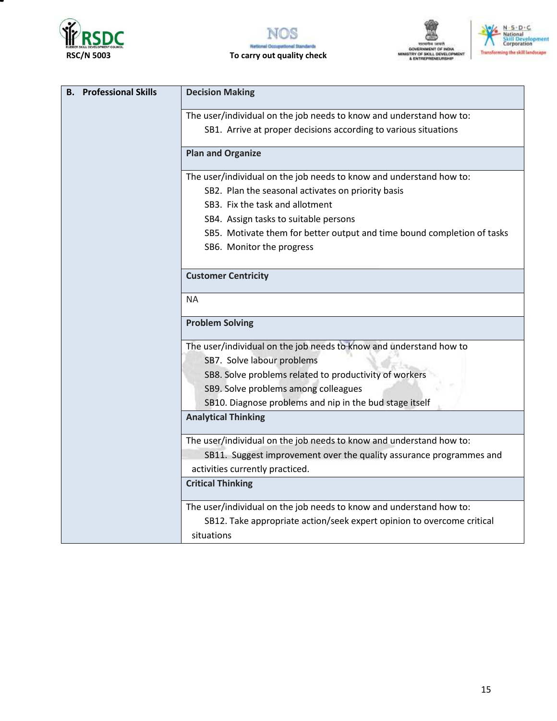

т







| <b>B.</b> Professional Skills | <b>Decision Making</b>                                                  |
|-------------------------------|-------------------------------------------------------------------------|
|                               | The user/individual on the job needs to know and understand how to:     |
|                               | SB1. Arrive at proper decisions according to various situations         |
|                               | <b>Plan and Organize</b>                                                |
|                               | The user/individual on the job needs to know and understand how to:     |
|                               | SB2. Plan the seasonal activates on priority basis                      |
|                               | SB3. Fix the task and allotment                                         |
|                               | SB4. Assign tasks to suitable persons                                   |
|                               | SB5. Motivate them for better output and time bound completion of tasks |
|                               | SB6. Monitor the progress                                               |
|                               | <b>Customer Centricity</b>                                              |
|                               |                                                                         |
|                               | <b>NA</b>                                                               |
|                               | <b>Problem Solving</b>                                                  |
|                               | The user/individual on the job needs to know and understand how to      |
|                               | SB7. Solve labour problems                                              |
|                               | SB8. Solve problems related to productivity of workers                  |
|                               | SB9. Solve problems among colleagues                                    |
|                               | SB10. Diagnose problems and nip in the bud stage itself                 |
|                               | <b>Analytical Thinking</b>                                              |
|                               | The user/individual on the job needs to know and understand how to:     |
|                               | SB11. Suggest improvement over the quality assurance programmes and     |
|                               | activities currently practiced.                                         |
|                               | <b>Critical Thinking</b>                                                |
|                               | The user/individual on the job needs to know and understand how to:     |
|                               | SB12. Take appropriate action/seek expert opinion to overcome critical  |
|                               | situations                                                              |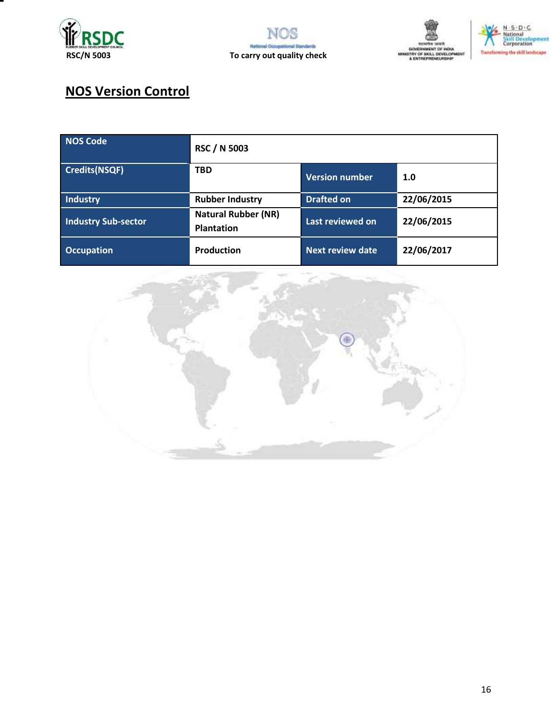







# **NOS Version Control**

| NOS Code                   | <b>RSC / N 5003</b>                             |                         |            |
|----------------------------|-------------------------------------------------|-------------------------|------------|
| Credits(NSQF)              | <b>TBD</b>                                      | <b>Version number</b>   | 1.0        |
| Industry                   | <b>Rubber Industry</b>                          | <b>Drafted on</b>       | 22/06/2015 |
| <b>Industry Sub-sector</b> | <b>Natural Rubber (NR)</b><br><b>Plantation</b> | Last reviewed on        | 22/06/2015 |
| <b>Occupation</b>          | <b>Production</b>                               | <b>Next review date</b> | 22/06/2017 |

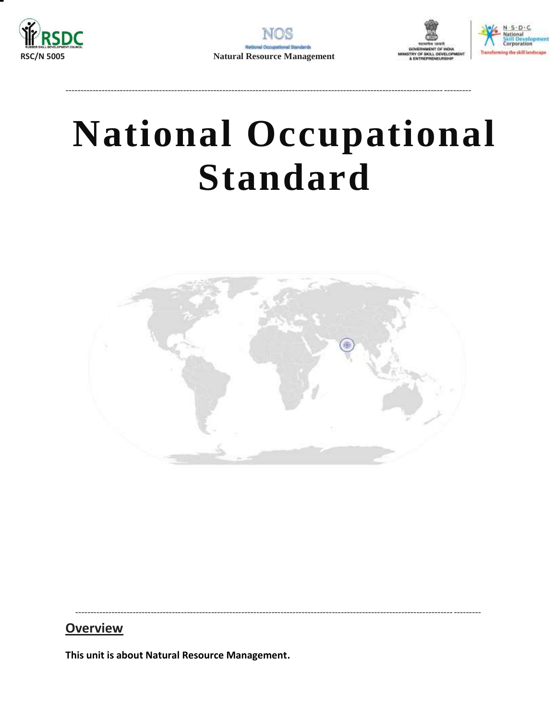<span id="page-16-0"></span>





# **National Occupational Standard**



## **Overview**

This unit is about Natural Resource Management.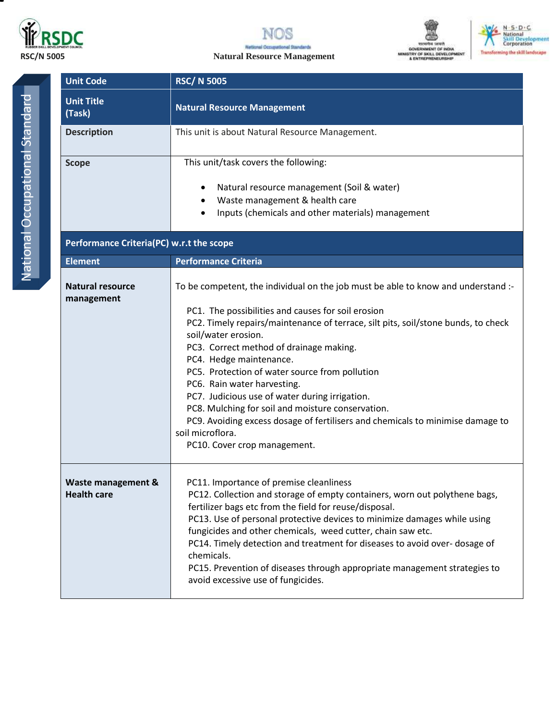

**NOS Netlonal Occup** al Standards

**RSC/N 5005 Natural Resource Management**





| <b>Unit Code</b>                         | <b>RSC/N 5005</b>                                                                                                                                                                                                                                                                                                                                                                                                                                                                                                                                                                                                                                       |  |  |
|------------------------------------------|---------------------------------------------------------------------------------------------------------------------------------------------------------------------------------------------------------------------------------------------------------------------------------------------------------------------------------------------------------------------------------------------------------------------------------------------------------------------------------------------------------------------------------------------------------------------------------------------------------------------------------------------------------|--|--|
| <b>Unit Title</b><br>(Task)              | <b>Natural Resource Management</b>                                                                                                                                                                                                                                                                                                                                                                                                                                                                                                                                                                                                                      |  |  |
| <b>Description</b>                       | This unit is about Natural Resource Management.                                                                                                                                                                                                                                                                                                                                                                                                                                                                                                                                                                                                         |  |  |
| <b>Scope</b>                             | This unit/task covers the following:<br>Natural resource management (Soil & water)<br>$\bullet$<br>Waste management & health care<br>$\bullet$<br>Inputs (chemicals and other materials) management<br>$\bullet$                                                                                                                                                                                                                                                                                                                                                                                                                                        |  |  |
| Performance Criteria(PC) w.r.t the scope |                                                                                                                                                                                                                                                                                                                                                                                                                                                                                                                                                                                                                                                         |  |  |
| <b>Element</b>                           | <b>Performance Criteria</b>                                                                                                                                                                                                                                                                                                                                                                                                                                                                                                                                                                                                                             |  |  |
| <b>Natural resource</b><br>management    | To be competent, the individual on the job must be able to know and understand :-<br>PC1. The possibilities and causes for soil erosion<br>PC2. Timely repairs/maintenance of terrace, silt pits, soil/stone bunds, to check<br>soil/water erosion.<br>PC3. Correct method of drainage making.<br>PC4. Hedge maintenance.<br>PC5. Protection of water source from pollution<br>PC6. Rain water harvesting.<br>PC7. Judicious use of water during irrigation.<br>PC8. Mulching for soil and moisture conservation.<br>PC9. Avoiding excess dosage of fertilisers and chemicals to minimise damage to<br>soil microflora.<br>PC10. Cover crop management. |  |  |
| Waste management &<br><b>Health care</b> | PC11. Importance of premise cleanliness<br>PC12. Collection and storage of empty containers, worn out polythene bags,<br>fertilizer bags etc from the field for reuse/disposal.<br>PC13. Use of personal protective devices to minimize damages while using<br>fungicides and other chemicals, weed cutter, chain saw etc.<br>PC14. Timely detection and treatment for diseases to avoid over-dosage of<br>chemicals.<br>PC15. Prevention of diseases through appropriate management strategies to<br>avoid excessive use of fungicides.                                                                                                                |  |  |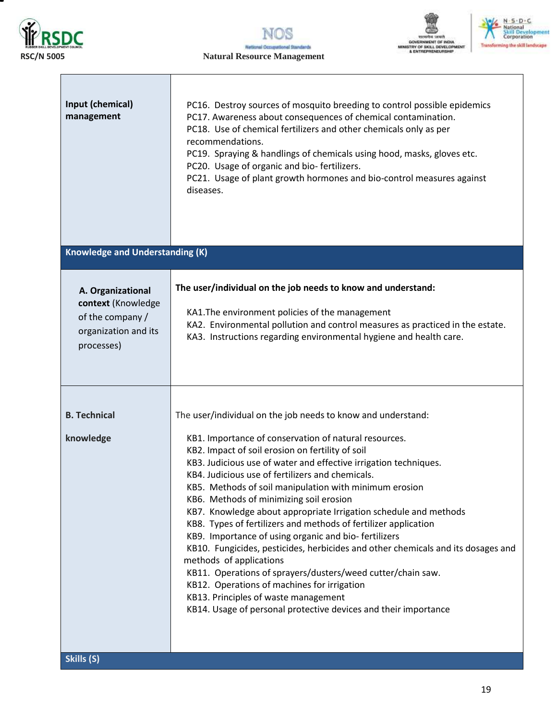

**NOS National Oct** idarda al fin **RSC/N 5005 Natural Resource Management**



MIN

| National                    |
|-----------------------------|
| dil Developm<br>Corporation |
|                             |

| Input (chemical)<br>management<br><b>Knowledge and Understanding (K)</b>                          | PC16. Destroy sources of mosquito breeding to control possible epidemics<br>PC17. Awareness about consequences of chemical contamination.<br>PC18. Use of chemical fertilizers and other chemicals only as per<br>recommendations.<br>PC19. Spraying & handlings of chemicals using hood, masks, gloves etc.<br>PC20. Usage of organic and bio-fertilizers.<br>PC21. Usage of plant growth hormones and bio-control measures against<br>diseases.                                                                                                                                                                                                                                                                                                                                                                                                                                                                                             |
|---------------------------------------------------------------------------------------------------|-----------------------------------------------------------------------------------------------------------------------------------------------------------------------------------------------------------------------------------------------------------------------------------------------------------------------------------------------------------------------------------------------------------------------------------------------------------------------------------------------------------------------------------------------------------------------------------------------------------------------------------------------------------------------------------------------------------------------------------------------------------------------------------------------------------------------------------------------------------------------------------------------------------------------------------------------|
|                                                                                                   |                                                                                                                                                                                                                                                                                                                                                                                                                                                                                                                                                                                                                                                                                                                                                                                                                                                                                                                                               |
| A. Organizational<br>context (Knowledge<br>of the company /<br>organization and its<br>processes) | The user/individual on the job needs to know and understand:<br>KA1. The environment policies of the management<br>KA2. Environmental pollution and control measures as practiced in the estate.<br>KA3. Instructions regarding environmental hygiene and health care.                                                                                                                                                                                                                                                                                                                                                                                                                                                                                                                                                                                                                                                                        |
| <b>B. Technical</b><br>knowledge<br>Skills (S)                                                    | The user/individual on the job needs to know and understand:<br>KB1. Importance of conservation of natural resources.<br>KB2. Impact of soil erosion on fertility of soil<br>KB3. Judicious use of water and effective irrigation techniques.<br>KB4. Judicious use of fertilizers and chemicals.<br>KB5. Methods of soil manipulation with minimum erosion<br>KB6. Methods of minimizing soil erosion<br>KB7. Knowledge about appropriate Irrigation schedule and methods<br>KB8. Types of fertilizers and methods of fertilizer application<br>KB9. Importance of using organic and bio-fertilizers<br>KB10. Fungicides, pesticides, herbicides and other chemicals and its dosages and<br>methods of applications<br>KB11. Operations of sprayers/dusters/weed cutter/chain saw.<br>KB12. Operations of machines for irrigation<br>KB13. Principles of waste management<br>KB14. Usage of personal protective devices and their importance |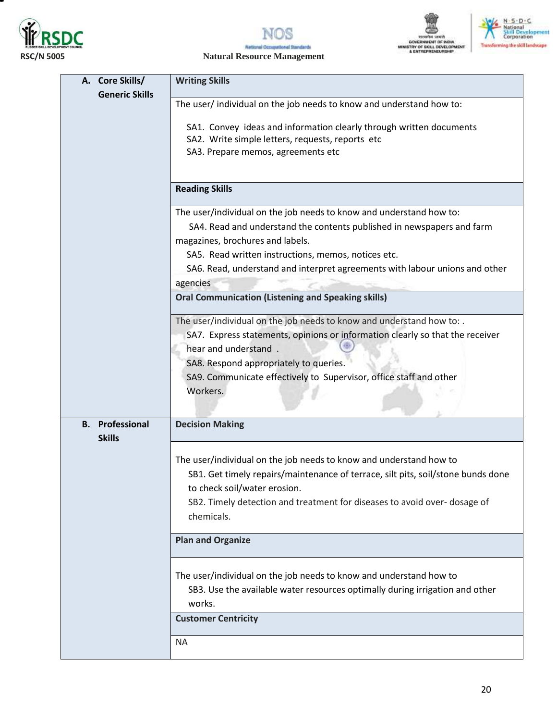

т







### **RSC/N 5005 Natural Resource Management**

| A. Core Skills/                         | <b>Writing Skills</b>                                                                                                   |  |  |
|-----------------------------------------|-------------------------------------------------------------------------------------------------------------------------|--|--|
| <b>Generic Skills</b>                   |                                                                                                                         |  |  |
|                                         | The user/individual on the job needs to know and understand how to:                                                     |  |  |
|                                         |                                                                                                                         |  |  |
|                                         | SA1. Convey ideas and information clearly through written documents<br>SA2. Write simple letters, requests, reports etc |  |  |
|                                         | SA3. Prepare memos, agreements etc                                                                                      |  |  |
|                                         |                                                                                                                         |  |  |
|                                         |                                                                                                                         |  |  |
|                                         | <b>Reading Skills</b>                                                                                                   |  |  |
|                                         | The user/individual on the job needs to know and understand how to:                                                     |  |  |
|                                         | SA4. Read and understand the contents published in newspapers and farm                                                  |  |  |
|                                         | magazines, brochures and labels.                                                                                        |  |  |
|                                         | SA5. Read written instructions, memos, notices etc.                                                                     |  |  |
|                                         | SA6. Read, understand and interpret agreements with labour unions and other                                             |  |  |
|                                         | agencies                                                                                                                |  |  |
|                                         | <b>Oral Communication (Listening and Speaking skills)</b>                                                               |  |  |
|                                         | The user/individual on the job needs to know and understand how to: .                                                   |  |  |
|                                         | SA7. Express statements, opinions or information clearly so that the receiver                                           |  |  |
|                                         | hear and understand.                                                                                                    |  |  |
|                                         | SA8. Respond appropriately to queries.                                                                                  |  |  |
|                                         | SA9. Communicate effectively to Supervisor, office staff and other                                                      |  |  |
|                                         | Workers.                                                                                                                |  |  |
|                                         |                                                                                                                         |  |  |
|                                         |                                                                                                                         |  |  |
| <b>B.</b> Professional<br><b>Skills</b> | <b>Decision Making</b>                                                                                                  |  |  |
|                                         | The user/individual on the job needs to know and understand how to                                                      |  |  |
|                                         | SB1. Get timely repairs/maintenance of terrace, silt pits, soil/stone bunds done                                        |  |  |
|                                         | to check soil/water erosion.                                                                                            |  |  |
|                                         |                                                                                                                         |  |  |
|                                         | SB2. Timely detection and treatment for diseases to avoid over- dosage of<br>chemicals.                                 |  |  |
|                                         | <b>Plan and Organize</b>                                                                                                |  |  |
|                                         |                                                                                                                         |  |  |
|                                         | The user/individual on the job needs to know and understand how to                                                      |  |  |
|                                         | SB3. Use the available water resources optimally during irrigation and other                                            |  |  |
|                                         | works.                                                                                                                  |  |  |
|                                         | <b>Customer Centricity</b>                                                                                              |  |  |
|                                         |                                                                                                                         |  |  |
|                                         | <b>NA</b>                                                                                                               |  |  |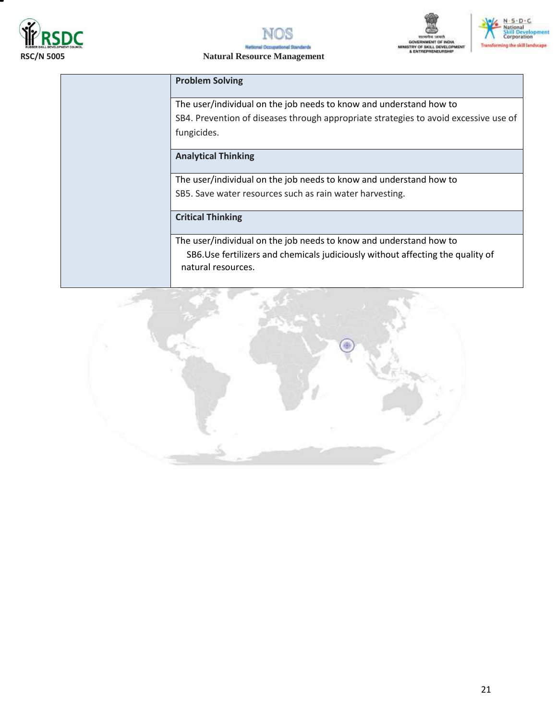





## **RSC/N 5005 Natural Resource Management**

#### **Problem Solving**

The user/individual on the job needs to know and understand how to SB4. Prevention of diseases through appropriate strategies to avoid excessive use of fungicides.

### **Analytical Thinking**

The user/individual on the job needs to know and understand how to SB5. Save water resources such as rain water harvesting.

### **Critical Thinking**

The user/individual on the job needs to know and understand how to SB6.Use fertilizers and chemicals judiciously without affecting the quality of natural resources.

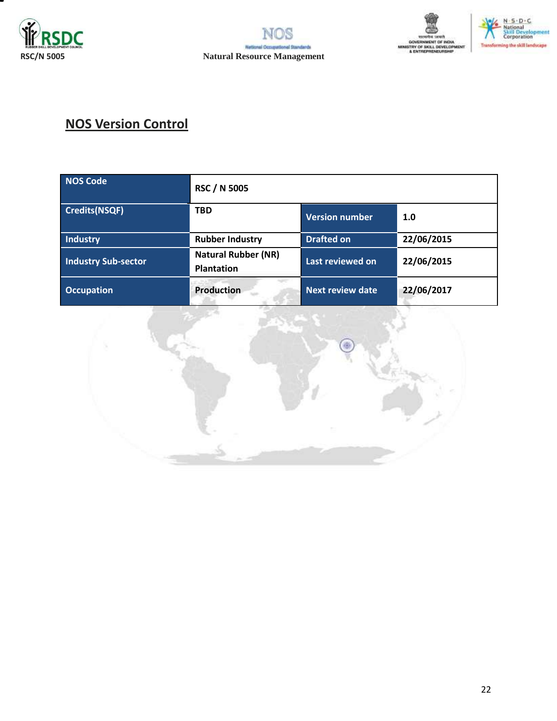







# **NOS Version Control**

| <b>NOS Code</b>            | <b>RSC / N 5005</b>                             |                         |            |
|----------------------------|-------------------------------------------------|-------------------------|------------|
| <b>Credits(NSQF)</b>       | <b>TBD</b>                                      | <b>Version number</b>   | 1.0        |
| <b>Industry</b>            | <b>Rubber Industry</b>                          | <b>Drafted on</b>       | 22/06/2015 |
| <b>Industry Sub-sector</b> | <b>Natural Rubber (NR)</b><br><b>Plantation</b> | Last reviewed on        | 22/06/2015 |
| <b>Occupation</b>          | <b>Production</b>                               | <b>Next review date</b> | 22/06/2017 |

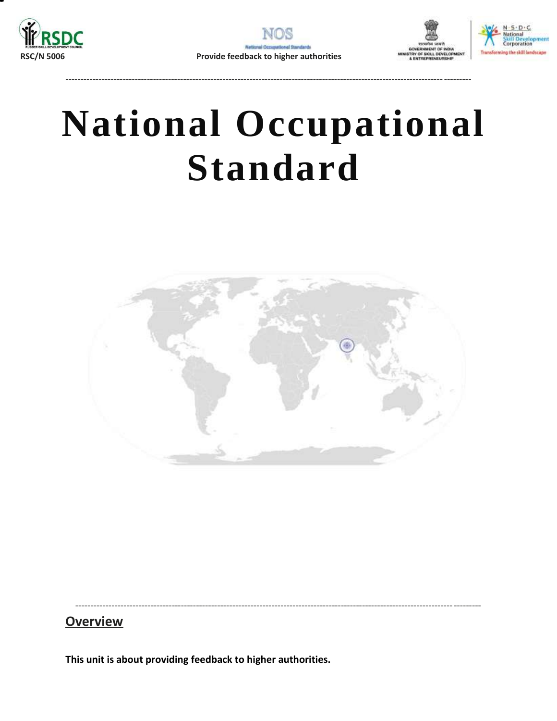

--------------------------------------------------------------------------------------------------------------------------------------





# **National Occupational Standard**

<span id="page-22-0"></span>

--------------------------------------------------------------------------------------------------------------------------------------

**Overview** 

**This unit is about providing feedback to higher authorities.**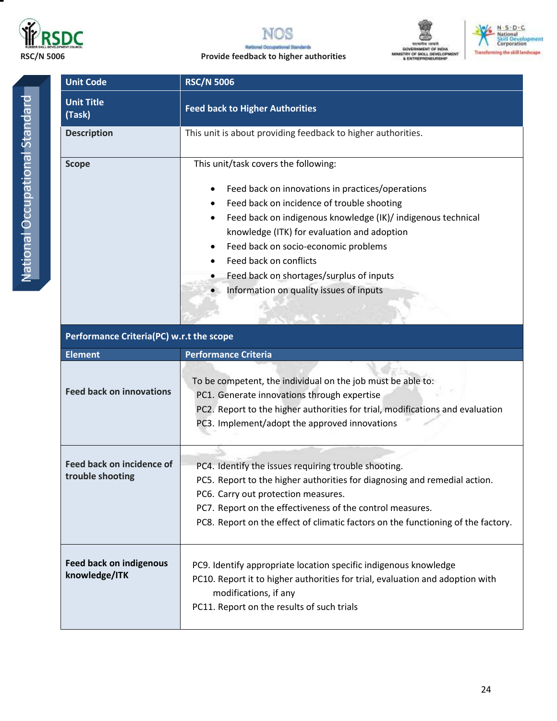



**RSC/N 5006 Provide feedback to higher authorities**





| <b>Unit Code</b>            | <b>RSC/N 5006</b>                                                                                                                                                                                                                                                                                                                                                                                                                                     |  |  |
|-----------------------------|-------------------------------------------------------------------------------------------------------------------------------------------------------------------------------------------------------------------------------------------------------------------------------------------------------------------------------------------------------------------------------------------------------------------------------------------------------|--|--|
| <b>Unit Title</b><br>(Task) | <b>Feed back to Higher Authorities</b>                                                                                                                                                                                                                                                                                                                                                                                                                |  |  |
| <b>Description</b>          | This unit is about providing feedback to higher authorities.                                                                                                                                                                                                                                                                                                                                                                                          |  |  |
| <b>Scope</b>                | This unit/task covers the following:<br>Feed back on innovations in practices/operations<br>$\bullet$<br>Feed back on incidence of trouble shooting<br>Feed back on indigenous knowledge (IK)/ indigenous technical<br>$\bullet$<br>knowledge (ITK) for evaluation and adoption<br>Feed back on socio-economic problems<br>$\bullet$<br>Feed back on conflicts<br>Feed back on shortages/surplus of inputs<br>Information on quality issues of inputs |  |  |

| Performance Criteria(PC) w.r.t the scope        |                                                                                                                                                                                                                                                                                                                           |  |  |
|-------------------------------------------------|---------------------------------------------------------------------------------------------------------------------------------------------------------------------------------------------------------------------------------------------------------------------------------------------------------------------------|--|--|
| <b>Element</b>                                  | <b>Performance Criteria</b>                                                                                                                                                                                                                                                                                               |  |  |
| <b>Feed back on innovations</b>                 | To be competent, the individual on the job must be able to:<br>PC1. Generate innovations through expertise<br>PC2. Report to the higher authorities for trial, modifications and evaluation<br>PC3. Implement/adopt the approved innovations                                                                              |  |  |
| Feed back on incidence of<br>trouble shooting   | PC4. Identify the issues requiring trouble shooting.<br>PC5. Report to the higher authorities for diagnosing and remedial action.<br>PC6. Carry out protection measures.<br>PC7. Report on the effectiveness of the control measures.<br>PC8. Report on the effect of climatic factors on the functioning of the factory. |  |  |
| <b>Feed back on indigenous</b><br>knowledge/ITK | PC9. Identify appropriate location specific indigenous knowledge<br>PC10. Report it to higher authorities for trial, evaluation and adoption with<br>modifications, if any<br>PC11. Report on the results of such trials                                                                                                  |  |  |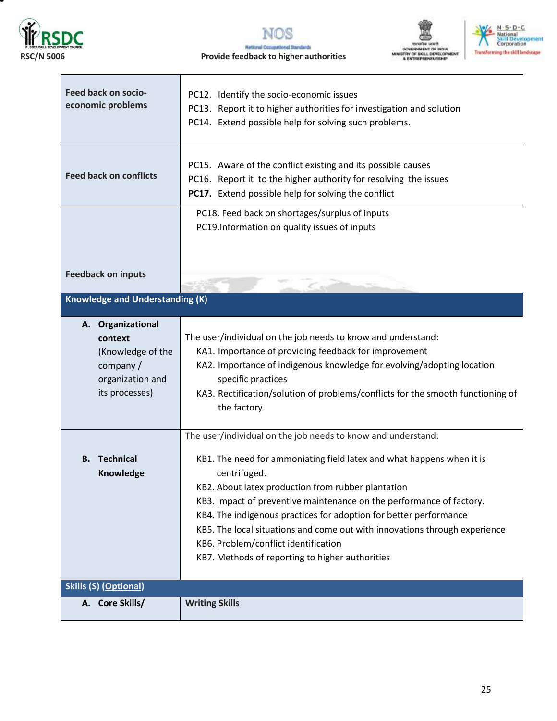

 $\mathbf{r}$ 

т



#### **RSC/N 5006 Provide feedback to higher authorities**





| Feed back on socio-<br>economic problems                                                            | PC12. Identify the socio-economic issues<br>PC13. Report it to higher authorities for investigation and solution<br>PC14. Extend possible help for solving such problems.                                                                                                                                                                                                                                                                                                                                                         |  |
|-----------------------------------------------------------------------------------------------------|-----------------------------------------------------------------------------------------------------------------------------------------------------------------------------------------------------------------------------------------------------------------------------------------------------------------------------------------------------------------------------------------------------------------------------------------------------------------------------------------------------------------------------------|--|
| <b>Feed back on conflicts</b>                                                                       | PC15. Aware of the conflict existing and its possible causes<br>PC16. Report it to the higher authority for resolving the issues<br>PC17. Extend possible help for solving the conflict                                                                                                                                                                                                                                                                                                                                           |  |
|                                                                                                     | PC18. Feed back on shortages/surplus of inputs<br>PC19.Information on quality issues of inputs                                                                                                                                                                                                                                                                                                                                                                                                                                    |  |
| <b>Feedback on inputs</b>                                                                           |                                                                                                                                                                                                                                                                                                                                                                                                                                                                                                                                   |  |
| <b>Knowledge and Understanding (K)</b>                                                              |                                                                                                                                                                                                                                                                                                                                                                                                                                                                                                                                   |  |
| A. Organizational<br>context<br>(Knowledge of the<br>company/<br>organization and<br>its processes) | The user/individual on the job needs to know and understand:<br>KA1. Importance of providing feedback for improvement<br>KA2. Importance of indigenous knowledge for evolving/adopting location<br>specific practices<br>KA3. Rectification/solution of problems/conflicts for the smooth functioning of<br>the factory.                                                                                                                                                                                                          |  |
| <b>B.</b> Technical<br>Knowledge                                                                    | The user/individual on the job needs to know and understand:<br>KB1. The need for ammoniating field latex and what happens when it is<br>centrifuged.<br>KB2. About latex production from rubber plantation<br>KB3. Impact of preventive maintenance on the performance of factory.<br>KB4. The indigenous practices for adoption for better performance<br>KB5. The local situations and come out with innovations through experience<br>KB6. Problem/conflict identification<br>KB7. Methods of reporting to higher authorities |  |
| <b>Skills (S) (Optional)</b>                                                                        |                                                                                                                                                                                                                                                                                                                                                                                                                                                                                                                                   |  |
| A. Core Skills/                                                                                     | <b>Writing Skills</b>                                                                                                                                                                                                                                                                                                                                                                                                                                                                                                             |  |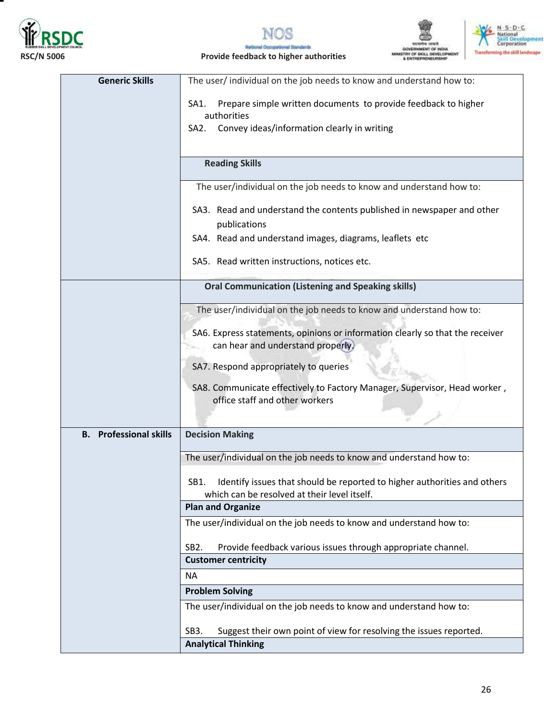



**MENT OF INDIA** MINISTRY OF SKILL DEVELOPMENT<br>& ENTREPRENEURSHIP



**RSC/N 5006 Provide feedback to higher authorities**

Nat

| <b>Generic Skills</b><br>The user/individual on the job needs to know and understand how to:<br>Prepare simple written documents to provide feedback to higher<br>SA1.<br>authorities<br>Convey ideas/information clearly in writing<br>SA2.<br><b>Reading Skills</b><br>The user/individual on the job needs to know and understand how to:<br>SA3. Read and understand the contents published in newspaper and other<br>publications<br>SA4. Read and understand images, diagrams, leaflets etc<br>SA5. Read written instructions, notices etc.<br><b>Oral Communication (Listening and Speaking skills)</b><br>The user/individual on the job needs to know and understand how to:<br>SA6. Express statements, opinions or information clearly so that the receiver<br>can hear and understand properly.<br>SA7. Respond appropriately to queries<br>SA8. Communicate effectively to Factory Manager, Supervisor, Head worker,<br>office staff and other workers<br><b>B.</b> Professional skills<br><b>Decision Making</b><br>The user/individual on the job needs to know and understand how to: |
|-------------------------------------------------------------------------------------------------------------------------------------------------------------------------------------------------------------------------------------------------------------------------------------------------------------------------------------------------------------------------------------------------------------------------------------------------------------------------------------------------------------------------------------------------------------------------------------------------------------------------------------------------------------------------------------------------------------------------------------------------------------------------------------------------------------------------------------------------------------------------------------------------------------------------------------------------------------------------------------------------------------------------------------------------------------------------------------------------------|
|                                                                                                                                                                                                                                                                                                                                                                                                                                                                                                                                                                                                                                                                                                                                                                                                                                                                                                                                                                                                                                                                                                       |
|                                                                                                                                                                                                                                                                                                                                                                                                                                                                                                                                                                                                                                                                                                                                                                                                                                                                                                                                                                                                                                                                                                       |
|                                                                                                                                                                                                                                                                                                                                                                                                                                                                                                                                                                                                                                                                                                                                                                                                                                                                                                                                                                                                                                                                                                       |
|                                                                                                                                                                                                                                                                                                                                                                                                                                                                                                                                                                                                                                                                                                                                                                                                                                                                                                                                                                                                                                                                                                       |
|                                                                                                                                                                                                                                                                                                                                                                                                                                                                                                                                                                                                                                                                                                                                                                                                                                                                                                                                                                                                                                                                                                       |
|                                                                                                                                                                                                                                                                                                                                                                                                                                                                                                                                                                                                                                                                                                                                                                                                                                                                                                                                                                                                                                                                                                       |
|                                                                                                                                                                                                                                                                                                                                                                                                                                                                                                                                                                                                                                                                                                                                                                                                                                                                                                                                                                                                                                                                                                       |
|                                                                                                                                                                                                                                                                                                                                                                                                                                                                                                                                                                                                                                                                                                                                                                                                                                                                                                                                                                                                                                                                                                       |
|                                                                                                                                                                                                                                                                                                                                                                                                                                                                                                                                                                                                                                                                                                                                                                                                                                                                                                                                                                                                                                                                                                       |
|                                                                                                                                                                                                                                                                                                                                                                                                                                                                                                                                                                                                                                                                                                                                                                                                                                                                                                                                                                                                                                                                                                       |
|                                                                                                                                                                                                                                                                                                                                                                                                                                                                                                                                                                                                                                                                                                                                                                                                                                                                                                                                                                                                                                                                                                       |
|                                                                                                                                                                                                                                                                                                                                                                                                                                                                                                                                                                                                                                                                                                                                                                                                                                                                                                                                                                                                                                                                                                       |
|                                                                                                                                                                                                                                                                                                                                                                                                                                                                                                                                                                                                                                                                                                                                                                                                                                                                                                                                                                                                                                                                                                       |
|                                                                                                                                                                                                                                                                                                                                                                                                                                                                                                                                                                                                                                                                                                                                                                                                                                                                                                                                                                                                                                                                                                       |
|                                                                                                                                                                                                                                                                                                                                                                                                                                                                                                                                                                                                                                                                                                                                                                                                                                                                                                                                                                                                                                                                                                       |
|                                                                                                                                                                                                                                                                                                                                                                                                                                                                                                                                                                                                                                                                                                                                                                                                                                                                                                                                                                                                                                                                                                       |
|                                                                                                                                                                                                                                                                                                                                                                                                                                                                                                                                                                                                                                                                                                                                                                                                                                                                                                                                                                                                                                                                                                       |
|                                                                                                                                                                                                                                                                                                                                                                                                                                                                                                                                                                                                                                                                                                                                                                                                                                                                                                                                                                                                                                                                                                       |
|                                                                                                                                                                                                                                                                                                                                                                                                                                                                                                                                                                                                                                                                                                                                                                                                                                                                                                                                                                                                                                                                                                       |
|                                                                                                                                                                                                                                                                                                                                                                                                                                                                                                                                                                                                                                                                                                                                                                                                                                                                                                                                                                                                                                                                                                       |
|                                                                                                                                                                                                                                                                                                                                                                                                                                                                                                                                                                                                                                                                                                                                                                                                                                                                                                                                                                                                                                                                                                       |
| Identify issues that should be reported to higher authorities and others<br>SB1.<br>which can be resolved at their level itself.                                                                                                                                                                                                                                                                                                                                                                                                                                                                                                                                                                                                                                                                                                                                                                                                                                                                                                                                                                      |
| <b>Plan and Organize</b>                                                                                                                                                                                                                                                                                                                                                                                                                                                                                                                                                                                                                                                                                                                                                                                                                                                                                                                                                                                                                                                                              |
| The user/individual on the job needs to know and understand how to:                                                                                                                                                                                                                                                                                                                                                                                                                                                                                                                                                                                                                                                                                                                                                                                                                                                                                                                                                                                                                                   |
| SB <sub>2</sub> .<br>Provide feedback various issues through appropriate channel.                                                                                                                                                                                                                                                                                                                                                                                                                                                                                                                                                                                                                                                                                                                                                                                                                                                                                                                                                                                                                     |
| <b>Customer centricity</b>                                                                                                                                                                                                                                                                                                                                                                                                                                                                                                                                                                                                                                                                                                                                                                                                                                                                                                                                                                                                                                                                            |
| <b>NA</b>                                                                                                                                                                                                                                                                                                                                                                                                                                                                                                                                                                                                                                                                                                                                                                                                                                                                                                                                                                                                                                                                                             |
| <b>Problem Solving</b>                                                                                                                                                                                                                                                                                                                                                                                                                                                                                                                                                                                                                                                                                                                                                                                                                                                                                                                                                                                                                                                                                |
| The user/individual on the job needs to know and understand how to:                                                                                                                                                                                                                                                                                                                                                                                                                                                                                                                                                                                                                                                                                                                                                                                                                                                                                                                                                                                                                                   |
| Suggest their own point of view for resolving the issues reported.<br>SB3.                                                                                                                                                                                                                                                                                                                                                                                                                                                                                                                                                                                                                                                                                                                                                                                                                                                                                                                                                                                                                            |

**Analytical Thinking**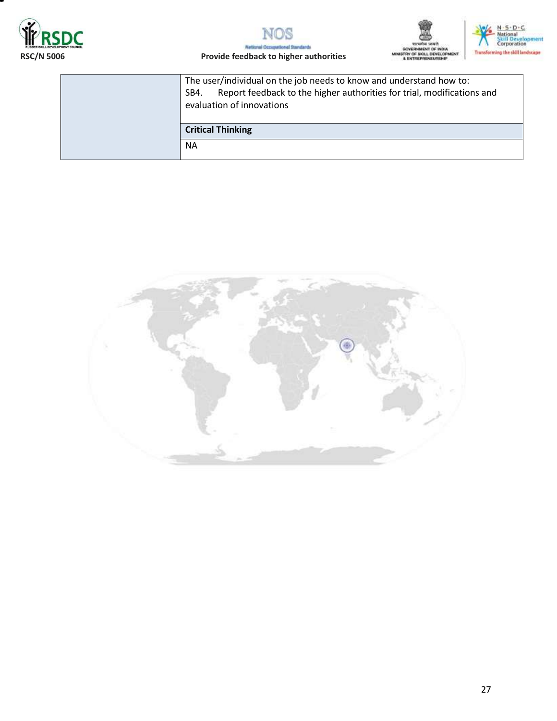







#### **RSC/N 5006 Provide feedback to higher authorities**

The user/individual on the job needs to know and understand how to: SB4. Report feedback to the higher authorities for trial, modifications and evaluation of innovations

**Critical Thinking**

NA

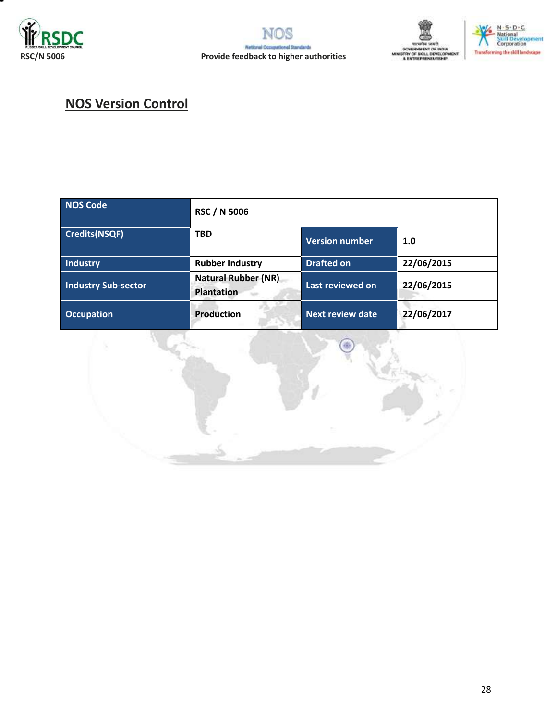







# **NOS Version Control**

| <b>NOS Code</b>            | <b>RSC / N 5006</b>                             |                         |            |
|----------------------------|-------------------------------------------------|-------------------------|------------|
| <b>Credits(NSQF)</b>       | <b>TBD</b>                                      | <b>Version number</b>   | 1.0        |
| <b>Industry</b>            | <b>Rubber Industry</b>                          | <b>Drafted on</b>       | 22/06/2015 |
| <b>Industry Sub-sector</b> | <b>Natural Rubber (NR)</b><br><b>Plantation</b> | Last reviewed on        | 22/06/2015 |
| <b>Occupation</b>          | <b>Production</b>                               | <b>Next review date</b> | 22/06/2017 |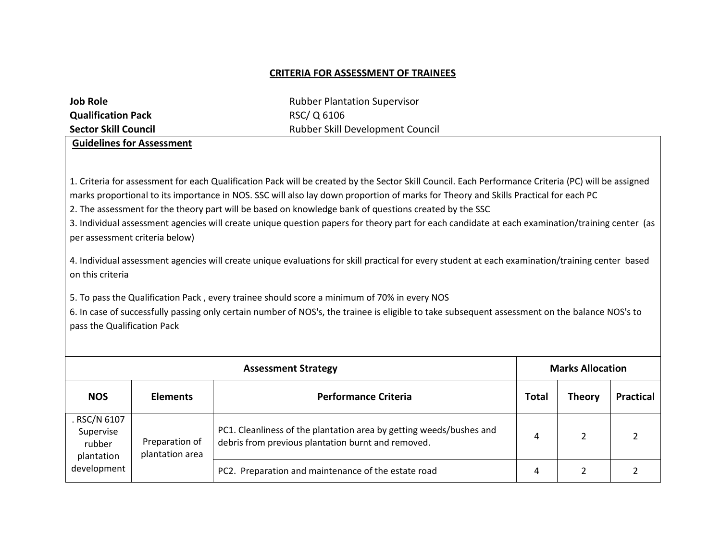### **CRITERIA FOR ASSESSMENT OF TRAINEES**

| <b>Job Role</b>             | <b>Rubber Plantation Supervisor</b>     |
|-----------------------------|-----------------------------------------|
| <b>Qualification Pack</b>   | RSC/Q 6106                              |
| <b>Sector Skill Council</b> | <b>Rubber Skill Development Council</b> |
|                             |                                         |

**Guidelines for Assessment** 

1. Criteria for assessment for each Qualification Pack will be created by the Sector Skill Council. Each Performance Criteria (PC) will be assigned marks proportional to its importance in NOS. SSC will also lay down proportion of marks for Theory and Skills Practical for each PC

2. The assessment for the theory part will be based on knowledge bank of questions created by the SSC

3. Individual assessment agencies will create unique question papers for theory part for each candidate at each examination/training center (as per assessment criteria below)

4. Individual assessment agencies will create unique evaluations for skill practical for every student at each examination/training center based on this criteria

5. To pass the Qualification Pack , every trainee should score a minimum of 70% in every NOS

6. In case of successfully passing only certain number of NOS's, the trainee is eligible to take subsequent assessment on the balance NOS's to pass the Qualification Pack

| <b>Assessment Strategy</b>                                       |                                   |                                                                                                                           |              | <b>Marks Allocation</b> |                  |  |
|------------------------------------------------------------------|-----------------------------------|---------------------------------------------------------------------------------------------------------------------------|--------------|-------------------------|------------------|--|
| <b>NOS</b>                                                       | <b>Elements</b>                   | <b>Performance Criteria</b>                                                                                               | <b>Total</b> | <b>Theory</b>           | <b>Practical</b> |  |
| . RSC/N 6107<br>Supervise<br>rubber<br>plantation<br>development | Preparation of<br>plantation area | PC1. Cleanliness of the plantation area by getting weeds/bushes and<br>debris from previous plantation burnt and removed. | 4            |                         |                  |  |
|                                                                  |                                   | PC2. Preparation and maintenance of the estate road                                                                       | 4            |                         |                  |  |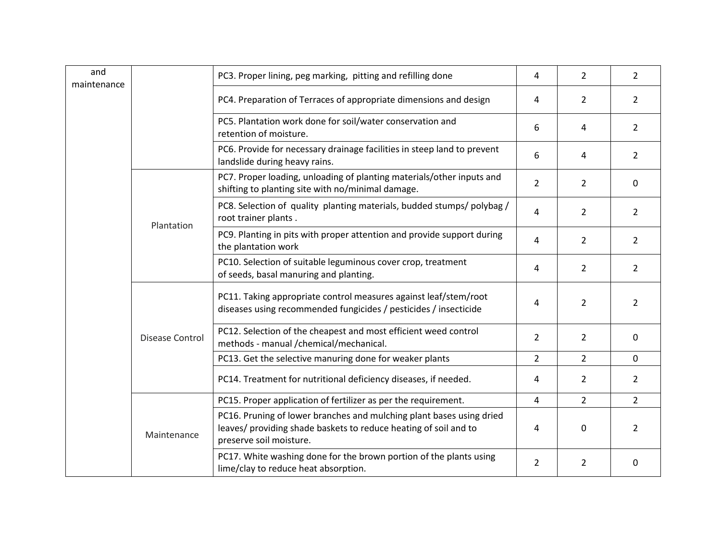| and<br>maintenance |                 | PC3. Proper lining, peg marking, pitting and refilling done                                                                                                         | 4              | $\overline{2}$                                                                                | $\overline{2}$                  |
|--------------------|-----------------|---------------------------------------------------------------------------------------------------------------------------------------------------------------------|----------------|-----------------------------------------------------------------------------------------------|---------------------------------|
|                    |                 | PC4. Preparation of Terraces of appropriate dimensions and design                                                                                                   | 4              | 2                                                                                             | $\overline{2}$                  |
|                    |                 | PC5. Plantation work done for soil/water conservation and<br>retention of moisture.                                                                                 | 6              | 4                                                                                             | $\overline{2}$                  |
|                    |                 | PC6. Provide for necessary drainage facilities in steep land to prevent<br>landslide during heavy rains.                                                            | 6              | 4                                                                                             | $\overline{2}$                  |
|                    |                 | PC7. Proper loading, unloading of planting materials/other inputs and<br>shifting to planting site with no/minimal damage.                                          | $\overline{2}$ | $\overline{2}$<br>$\mathbf{0}$<br>$\overline{2}$<br>$\overline{2}$<br>$\overline{2}$<br>2     |                                 |
|                    | Plantation      | PC8. Selection of quality planting materials, budded stumps/ polybag /<br>root trainer plants.                                                                      | 4              |                                                                                               |                                 |
|                    |                 | PC9. Planting in pits with proper attention and provide support during<br>the plantation work                                                                       | 4              |                                                                                               |                                 |
|                    |                 | PC10. Selection of suitable leguminous cover crop, treatment<br>of seeds, basal manuring and planting.                                                              | 4              | $\overline{2}$                                                                                | $\overline{2}$                  |
|                    |                 | PC11. Taking appropriate control measures against leaf/stem/root<br>diseases using recommended fungicides / pesticides / insecticide                                | 4              | $\overline{2}$                                                                                | $\overline{2}$                  |
|                    | Disease Control | PC12. Selection of the cheapest and most efficient weed control<br>methods - manual /chemical/mechanical.                                                           | $\overline{2}$ | $\overline{2}$                                                                                | $\mathbf{0}$                    |
|                    |                 | PC13. Get the selective manuring done for weaker plants                                                                                                             | 2              | $\overline{2}$                                                                                | $\mathbf 0$                     |
|                    |                 | PC14. Treatment for nutritional deficiency diseases, if needed.                                                                                                     | 4              | $\overline{2}$<br>$\overline{2}$<br>4<br>$\mathbf 0$<br>4<br>$\overline{2}$<br>$\overline{2}$ | $\overline{2}$                  |
|                    |                 | PC15. Proper application of fertilizer as per the requirement.                                                                                                      |                |                                                                                               | $\overline{2}$<br>2<br>$\Omega$ |
|                    | Maintenance     | PC16. Pruning of lower branches and mulching plant bases using dried<br>leaves/ providing shade baskets to reduce heating of soil and to<br>preserve soil moisture. |                |                                                                                               |                                 |
|                    |                 | PC17. White washing done for the brown portion of the plants using<br>lime/clay to reduce heat absorption.                                                          |                |                                                                                               |                                 |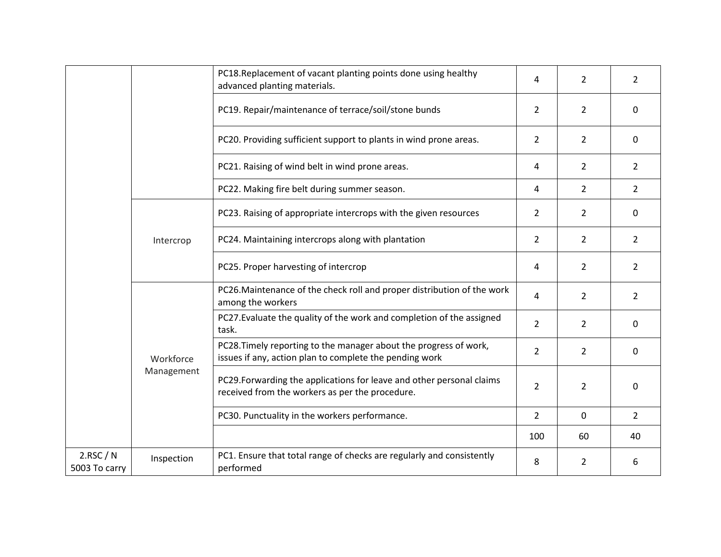|                          |                         | PC18.Replacement of vacant planting points done using healthy<br>advanced planting materials.                                | 4              | $\overline{2}$ | $\overline{2}$ |
|--------------------------|-------------------------|------------------------------------------------------------------------------------------------------------------------------|----------------|----------------|----------------|
|                          |                         | PC19. Repair/maintenance of terrace/soil/stone bunds                                                                         | $\overline{2}$ | $\overline{2}$ | $\Omega$       |
|                          |                         | PC20. Providing sufficient support to plants in wind prone areas.                                                            | $\overline{2}$ | $\overline{2}$ | $\Omega$       |
|                          |                         | PC21. Raising of wind belt in wind prone areas.                                                                              | 4              | $\overline{2}$ | $\overline{2}$ |
|                          |                         | PC22. Making fire belt during summer season.                                                                                 | 4              | $\overline{2}$ | $\overline{2}$ |
|                          |                         | PC23. Raising of appropriate intercrops with the given resources                                                             | $\overline{2}$ | $\overline{2}$ | $\Omega$       |
|                          | Intercrop               | PC24. Maintaining intercrops along with plantation                                                                           | $\overline{2}$ | $\overline{2}$ | $\overline{2}$ |
|                          |                         | PC25. Proper harvesting of intercrop                                                                                         | 4              | $\overline{2}$ | $\overline{2}$ |
|                          | Workforce<br>Management | PC26. Maintenance of the check roll and proper distribution of the work<br>among the workers                                 | 4              | $\overline{2}$ | $\overline{2}$ |
|                          |                         | PC27. Evaluate the quality of the work and completion of the assigned<br>task.                                               | $\overline{2}$ | $\overline{2}$ | $\Omega$       |
|                          |                         | PC28. Timely reporting to the manager about the progress of work,<br>issues if any, action plan to complete the pending work | $\overline{2}$ | $\overline{2}$ | $\Omega$       |
|                          |                         | PC29. Forwarding the applications for leave and other personal claims<br>received from the workers as per the procedure.     | $\overline{2}$ | $\overline{2}$ | $\Omega$       |
|                          |                         | PC30. Punctuality in the workers performance.                                                                                | $\overline{2}$ | $\mathbf 0$    | $\overline{2}$ |
|                          |                         |                                                                                                                              | 100            | 60             | 40             |
| 2.RSC/N<br>5003 To carry | Inspection              | PC1. Ensure that total range of checks are regularly and consistently<br>performed                                           | 8              | $\overline{2}$ | 6              |
|                          |                         |                                                                                                                              |                |                |                |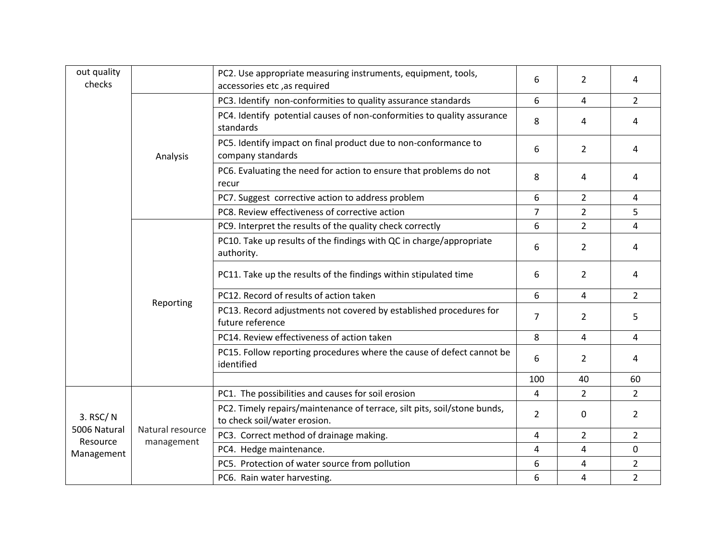| out quality<br>checks                              |                                | PC2. Use appropriate measuring instruments, equipment, tools,<br>accessories etc, as required            | 6              | $\overline{2}$ | 4              |
|----------------------------------------------------|--------------------------------|----------------------------------------------------------------------------------------------------------|----------------|----------------|----------------|
|                                                    | Analysis                       | PC3. Identify non-conformities to quality assurance standards                                            | 6              | 4              | $\overline{2}$ |
|                                                    |                                | PC4. Identify potential causes of non-conformities to quality assurance<br>standards                     | 8              | 4              | 4              |
|                                                    |                                | PC5. Identify impact on final product due to non-conformance to<br>company standards                     | 6              | $\overline{2}$ | 4              |
|                                                    |                                | PC6. Evaluating the need for action to ensure that problems do not<br>recur                              | 8              | 4              | 4              |
|                                                    |                                | PC7. Suggest corrective action to address problem                                                        | 6              | $\overline{2}$ | 4              |
|                                                    |                                | PC8. Review effectiveness of corrective action                                                           | $\overline{7}$ | $\overline{2}$ | 5              |
|                                                    |                                | PC9. Interpret the results of the quality check correctly                                                | 6              | $\overline{2}$ | 4              |
|                                                    |                                | PC10. Take up results of the findings with QC in charge/appropriate<br>authority.                        | 6              | $\overline{2}$ | 4              |
|                                                    |                                | PC11. Take up the results of the findings within stipulated time                                         | 6              | $\overline{2}$ | 4              |
|                                                    | Reporting                      | PC12. Record of results of action taken                                                                  | 6              | 4              | $\overline{2}$ |
|                                                    |                                | PC13. Record adjustments not covered by established procedures for<br>future reference                   | $\overline{7}$ | $\overline{2}$ | 5              |
|                                                    |                                | PC14. Review effectiveness of action taken                                                               | 8              | 4              | 4              |
|                                                    |                                | PC15. Follow reporting procedures where the cause of defect cannot be<br>identified                      | 6              | $\overline{2}$ | 4              |
|                                                    |                                |                                                                                                          | 100            | 40             | 60             |
|                                                    | Natural resource<br>management | PC1. The possibilities and causes for soil erosion                                                       | 4              | $\overline{2}$ | $\overline{2}$ |
| 3. RSC/N<br>5006 Natural<br>Resource<br>Management |                                | PC2. Timely repairs/maintenance of terrace, silt pits, soil/stone bunds,<br>to check soil/water erosion. | $\overline{2}$ | 0              | $\overline{2}$ |
|                                                    |                                | PC3. Correct method of drainage making.                                                                  | 4              | $\overline{2}$ | $\overline{2}$ |
|                                                    |                                | PC4. Hedge maintenance.                                                                                  | 4              | 4              | $\Omega$       |
|                                                    |                                | PC5. Protection of water source from pollution                                                           | 6              | 4              | $\overline{2}$ |
|                                                    |                                | PC6. Rain water harvesting.                                                                              | 6              | $\overline{4}$ | $\overline{2}$ |
|                                                    |                                |                                                                                                          |                |                |                |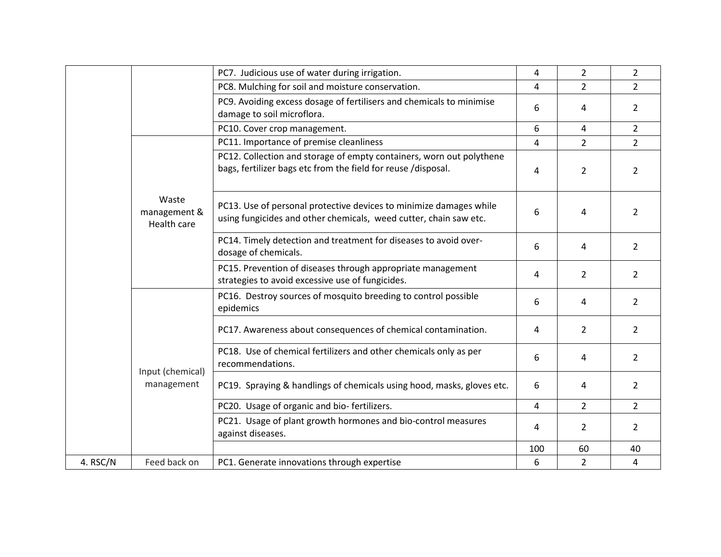|          |                                                                        | PC7. Judicious use of water during irrigation.                                                                                          | 4   | $\overline{2}$ | $\overline{2}$ |
|----------|------------------------------------------------------------------------|-----------------------------------------------------------------------------------------------------------------------------------------|-----|----------------|----------------|
|          |                                                                        | PC8. Mulching for soil and moisture conservation.                                                                                       | 4   | $\overline{2}$ | $\overline{2}$ |
|          |                                                                        | PC9. Avoiding excess dosage of fertilisers and chemicals to minimise<br>damage to soil microflora.                                      | 6   | 4              | $\overline{2}$ |
|          |                                                                        | PC10. Cover crop management.                                                                                                            | 6   | 4              | $\overline{2}$ |
|          |                                                                        | PC11. Importance of premise cleanliness                                                                                                 | 4   | $\overline{2}$ | $\overline{2}$ |
|          |                                                                        | PC12. Collection and storage of empty containers, worn out polythene<br>bags, fertilizer bags etc from the field for reuse /disposal.   | 4   | 2              | 2              |
|          | Waste<br>management &<br>Health care<br>Input (chemical)<br>management | PC13. Use of personal protective devices to minimize damages while<br>using fungicides and other chemicals, weed cutter, chain saw etc. | 6   | 4              | $\overline{2}$ |
|          |                                                                        | PC14. Timely detection and treatment for diseases to avoid over-<br>dosage of chemicals.                                                | 6   | 4              | $\overline{2}$ |
|          |                                                                        | PC15. Prevention of diseases through appropriate management<br>strategies to avoid excessive use of fungicides.                         | 4   | $\overline{2}$ | $\overline{2}$ |
|          |                                                                        | PC16. Destroy sources of mosquito breeding to control possible<br>epidemics                                                             | 6   | 4              | 2              |
|          |                                                                        | PC17. Awareness about consequences of chemical contamination.                                                                           | 4   | $\overline{2}$ | 2              |
|          |                                                                        | PC18. Use of chemical fertilizers and other chemicals only as per<br>recommendations.                                                   | 6   | 4              | $\overline{2}$ |
|          |                                                                        | PC19. Spraying & handlings of chemicals using hood, masks, gloves etc.                                                                  | 6   | 4              | $\overline{2}$ |
|          |                                                                        | PC20. Usage of organic and bio-fertilizers.                                                                                             | 4   | $\overline{2}$ | $\overline{2}$ |
|          |                                                                        | PC21. Usage of plant growth hormones and bio-control measures<br>against diseases.                                                      | 4   | $\overline{2}$ | $\overline{2}$ |
|          |                                                                        |                                                                                                                                         | 100 | 60             | 40             |
| 4. RSC/N | Feed back on                                                           | PC1. Generate innovations through expertise                                                                                             | 6   | $\overline{2}$ | 4              |